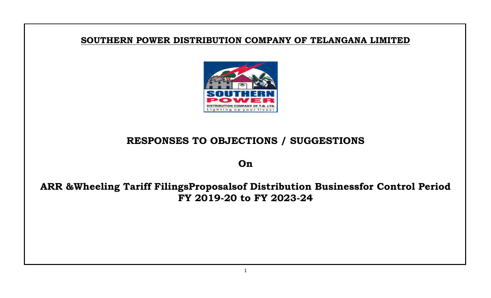## **SOUTHERN POWER DISTRIBUTION COMPANY OF TELANGANA LIMITED**



## **RESPONSES TO OBJECTIONS / SUGGESTIONS**

**On**

## **ARR &Wheeling Tariff FilingsProposalsof Distribution Businessfor Control Period FY 2019-20 to FY 2023-24**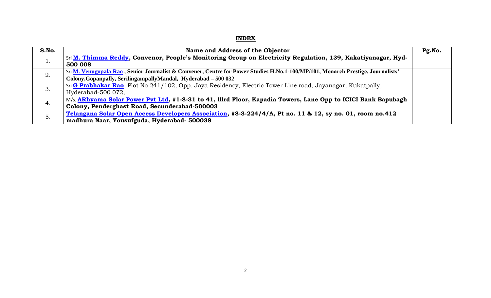## **INDEX**

| S.No. | Name and Address of the Objector                                                                                                | Pg.No. |
|-------|---------------------------------------------------------------------------------------------------------------------------------|--------|
| 1.    | Sri M. Thimma Reddy, Convenor, People's Monitoring Group on Electricity Regulation, 139, Kakatiyanagar, Hyd-                    |        |
|       | 500 008                                                                                                                         |        |
| 2.    | Sri M. Venugopala Rao, Senior Journalist & Convener, Centre for Power Studies H.No.1-100/MP/101, Monarch Prestige, Journalists' |        |
|       | Colony, Gopanpally, Seriling ampally Mandal, Hyderabad - 500 032                                                                |        |
| 3.    | Sri G Prabhakar Rao, Plot No 241/102, Opp. Jaya Residency, Electric Tower Line road, Jayanagar, Kukatpally,                     |        |
|       | Hyderabad-500 072,                                                                                                              |        |
| 4.    | M/s. ARhyama Solar Power Pvt Ltd, #1-8-31 to 41, Illrd Floor, Kapadia Towers, Lane Opp to ICICI Bank Bapubagh                   |        |
|       | Colony, Penderghast Road, Secunderabad-500003                                                                                   |        |
| 5.    | Telangana Solar Open Access Developers Association, #8-3-224/4/A, Pt no. 11 & 12, sy no. 01, room no.412                        |        |
|       | madhura Naar, Yousufguda, Hyderabad- 500038                                                                                     |        |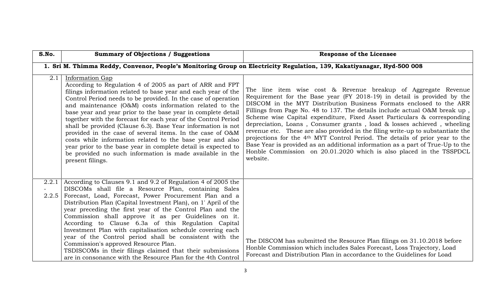<span id="page-2-0"></span>

| S.No. | <b>Summary of Objections / Suggestions</b>                                                                                                                                                                                                                                                                                                                                                                                                                                                                                                                                                                                                                                                                                                           | <b>Response of the Licensee</b>                                                                                                                                                                                                                                                                                                                                                                                                                                                                                                                                                                                                                                                                                                                                                                          |
|-------|------------------------------------------------------------------------------------------------------------------------------------------------------------------------------------------------------------------------------------------------------------------------------------------------------------------------------------------------------------------------------------------------------------------------------------------------------------------------------------------------------------------------------------------------------------------------------------------------------------------------------------------------------------------------------------------------------------------------------------------------------|----------------------------------------------------------------------------------------------------------------------------------------------------------------------------------------------------------------------------------------------------------------------------------------------------------------------------------------------------------------------------------------------------------------------------------------------------------------------------------------------------------------------------------------------------------------------------------------------------------------------------------------------------------------------------------------------------------------------------------------------------------------------------------------------------------|
|       |                                                                                                                                                                                                                                                                                                                                                                                                                                                                                                                                                                                                                                                                                                                                                      | 1. Sri M. Thimma Reddy, Convenor, People's Monitoring Group on Electricity Regulation, 139, Kakatiyanagar, Hyd-500 008                                                                                                                                                                                                                                                                                                                                                                                                                                                                                                                                                                                                                                                                                   |
| 2.1   | Information Gap<br>According to Regulation 4 of 2005 as part of ARR and FPT<br>filings information related to base year and each year of the<br>Control Period needs to be provided. In the case of operation<br>and maintenance (O&M) costs information related to the<br>base year and year prior to the base year in complete detail<br>together with the forecast for each year of the Control Period<br>shall be provided (Clause 6.3). Base Year information is not<br>provided in the case of several items. In the case of O&M<br>costs while information related to the base year and also<br>year prior to the base year in complete detail is expected to<br>be provided no such information is made available in the<br>present filings. | The line item wise cost & Revenue breakup of Aggregate Revenue<br>Requirement for the Base year (FY 2018-19) in detail is provided by the<br>DISCOM in the MYT Distribution Business Formats enclosed to the ARR<br>Fillings from Page No. 48 to 137. The details include actual O&M break up,<br>Scheme wise Capital expenditure, Fixed Asset Particulars & corresponding<br>depreciation, Loans, Consumer grants, load & losses achieved, wheeling<br>revenue etc. These are also provided in the filing write-up to substantiate the<br>projections for the 4 <sup>th</sup> MYT Control Period. The details of prior year to the<br>Base Year is provided as an additional information as a part of True-Up to the<br>Honble Commission on 20.01.2020 which is also placed in the TSSPDCL<br>website. |
| 2.2.5 | $2.2.1$ According to Clauses 9.1 and 9.2 of Regulation 4 of 2005 the<br>DISCOMs shall file a Resource Plan, containing Sales<br>Forecast, Load, Forecast, Power Procurement Plan and a<br>Distribution Plan (Capital Investment Plan), on 1' April of the<br>year preceding the first year of the Control Plan and the<br>Commission shall approve it as per Guidelines on it.<br>According to Clause 6.3a of this Regulation Capital<br>Investment Plan with capitalisation schedule covering each<br>year of the Control period shall be consistent with the<br>Commission's approved Resource Plan.<br>TSDISCOMs in their filings claimed that their submissions<br>are in consonance with the Resource Plan for the 4th Control                  | The DISCOM has submitted the Resource Plan filings on 31.10.2018 before<br>Honble Commission which includes Sales Forecast, Loss Trajectory, Load<br>Forecast and Distribution Plan in accordance to the Guidelines for Load                                                                                                                                                                                                                                                                                                                                                                                                                                                                                                                                                                             |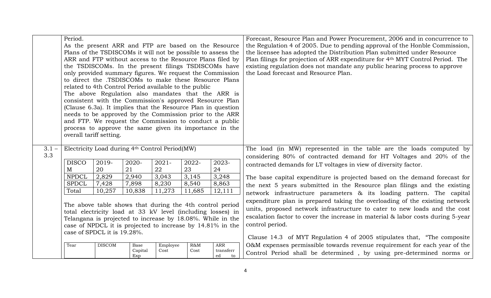|                | Period.<br>As the present ARR and FTP are based on the Resource<br>Plans of the TSDISCOMs it will not be possible to assess the<br>ARR and FTP without access to the Resource Plans filed by<br>the TSDISCOMs. In the present filings TSDISCOMs have<br>only provided summary figures. We request the Commission<br>to direct the .TSDISCOMs to make these Resource Plans<br>related to 4th Control Period available to the public<br>The above Regulation also mandates that the ARR is<br>consistent with the Commission's approved Resource Plan<br>(Clause 6.3a). It implies that the Resource Plan in question<br>needs to be approved by the Commission prior to the ARR<br>and FTP. We request the Commission to conduct a public<br>process to approve the same given its importance in the<br>overall tariff setting. |                                                               |                        |                  |                |                                     | Forecast, Resource Plan and Power Procurement, 2006 and in concurrence to<br>the Regulation 4 of 2005. Due to pending approval of the Honble Commission,<br>the licensee has adopted the Distribution Plan submitted under Resource<br>Plan filings for projection of ARR expenditure for 4 <sup>th</sup> MYT Control Period. The<br>existing regulation does not mandate any public hearing process to approve<br>the Load forecast and Resource Plan.                                                                                                                     |
|----------------|--------------------------------------------------------------------------------------------------------------------------------------------------------------------------------------------------------------------------------------------------------------------------------------------------------------------------------------------------------------------------------------------------------------------------------------------------------------------------------------------------------------------------------------------------------------------------------------------------------------------------------------------------------------------------------------------------------------------------------------------------------------------------------------------------------------------------------|---------------------------------------------------------------|------------------------|------------------|----------------|-------------------------------------|-----------------------------------------------------------------------------------------------------------------------------------------------------------------------------------------------------------------------------------------------------------------------------------------------------------------------------------------------------------------------------------------------------------------------------------------------------------------------------------------------------------------------------------------------------------------------------|
| $3.1 -$<br>3.3 | <b>DISCO</b><br>M                                                                                                                                                                                                                                                                                                                                                                                                                                                                                                                                                                                                                                                                                                                                                                                                              | Electricity Load during 4th Control Period(MW)<br>2019-<br>20 | 2020-<br>21            | $2021 -$<br>22   | 2022-<br>23    | 2023-<br>24                         | The load (in MW) represented in the table are the loads computed by<br>considering 80% of contracted demand for HT Voltages and 20% of the<br>contracted demands for LT voltages in view of diversity factor.                                                                                                                                                                                                                                                                                                                                                               |
|                | <b>NPDCL</b><br>2,829<br>2,940<br>3,043<br>3,145<br>3,248<br>7,898<br>8,863<br>7,428<br>8,230<br>8,540<br><b>SPDCL</b><br>Total<br>10,257<br>10,838<br>11,273<br>12,111<br>11,685<br>The above table shows that during the 4th control period<br>total electricity load at 33 kV level (including losses) in<br>Telangana is projected to increase by 18.08%. While in the<br>case of NPDCL it is projected to increase by 14.81% in the<br>case of SPDCL it is 19.28%.                                                                                                                                                                                                                                                                                                                                                        |                                                               |                        |                  |                |                                     | The base capital expenditure is projected based on the demand forecast for<br>the next 5 years submitted in the Resource plan filings and the existing<br>network infrastructure parameters & its loading pattern. The capital<br>expenditure plan is prepared taking the overloading of the existing network<br>units, proposed network infrastructure to cater to new loads and the cost<br>escalation factor to cover the increase in material & labor costs during 5-year<br>control period.<br>Clause 14.3 of MYT Regulation 4 of 2005 stipulates that, "The composite |
|                | Tear                                                                                                                                                                                                                                                                                                                                                                                                                                                                                                                                                                                                                                                                                                                                                                                                                           | <b>DISCOM</b>                                                 | Base<br>Capital<br>Exp | Employee<br>Cost | $R\&M$<br>Cost | <b>ARR</b><br>transferr<br>ed<br>to | O&M expenses permissible towards revenue requirement for each year of the<br>Control Period shall be determined, by using pre-determined norms or                                                                                                                                                                                                                                                                                                                                                                                                                           |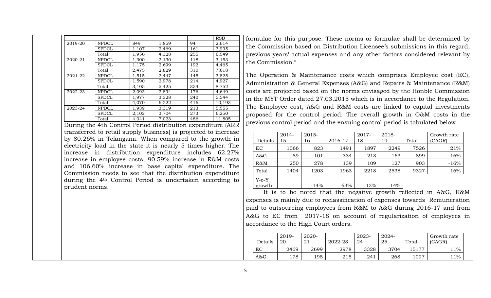|         |              |       |       |     | <b>RSB</b> |
|---------|--------------|-------|-------|-----|------------|
| 2019-20 | <b>NPDCL</b> | 849   | 1,859 | 94  | 2,614      |
|         | <b>SPDCL</b> | 1,107 | 2,469 | 161 | 3,935      |
|         | Total        | 1,956 | 4,328 | 255 | 6,549      |
| 2020-21 | <b>NPDCL</b> | 1,300 | 2,130 | 118 | 3,153      |
|         | <b>SPDCL</b> | 1,175 | 2.699 | 192 | 4,465      |
|         | Total        | 2,475 | 2,829 | 310 | 7,618      |
| 2021-22 | <b>NPDCL</b> | 1,515 | 2,447 | 145 | 3,825      |
|         | <b>SPDCL</b> | 1,590 | 2,978 | 214 | 4,927      |
|         | Total        | 3,105 | 5,425 | 359 | 8,752      |
| 2022-23 | <b>NPDCL</b> | 2,093 | 2,894 | 176 | 4,649      |
|         | <b>SPDCL</b> | 1,977 | 3,328 | 240 | 5,544      |
|         | Total        | 4.070 | 6,222 | 416 | 10,193     |
| 2023-24 | <b>NPDCL</b> | 1,939 | 3,319 | 213 | 5,555      |
|         | <b>SPDCL</b> | 2,102 | 3,704 | 273 | 6,250      |
|         | Total        | 4.041 | 7.023 | 486 | 11.805     |

During the 4th Control Period distribution expenditure (ARR transferred to retail supply business) is projected to increase by 80.26% in Telangana. When compared to the growth in electricity load in the state it is nearly 5 times higher. The increase in distribution expenditure includes 62.27% increase in employee costs, 90.59% increase in R&M costs and 106.60% increase in base capital expenditure. The Commission needs to see that the distribution expenditure during the 4th Control Period is undertaken according to prudent norms.

formulae for this purpose. These norms or formulae shall be determined by the Commission based on Distribution Licensee's submissions in this regard, previous years' actual expenses and any other factors considered relevant by the Commission."

The Operation & Maintenance costs which comprises Employee cost (EC), Administration & General Expenses (A&G) and Repairs & Maintenance (R&M) costs are projected based on the norms envisaged by the Honble Commission in the MYT Order dated 27.03.2015 which is in accordance to the Regulation. The Employee cost, A&G and R&M costs are linked to capital investments proposed for the control period. The overall growth in O&M costs in the previous control period and the ensuing control period is tabulated below

|         | 2014- | 2015-  |         | 2017- | 2018- |       | Growth rate |
|---------|-------|--------|---------|-------|-------|-------|-------------|
| Details | 15    | 16     | 2016-17 | 18    | 19    | Total | (CAGR)      |
| EC      | 1066  | 823    | 1491    | 1897  | 2249  | 7526  | 21%         |
| A&G     | 89    | 101    | 334     | 213   | 163   | 899   | 16%         |
| $R\&M$  | 250   | 278    | 139     | 109   | 127   | 903   | $-16%$      |
| Total   | 1404  | 1203   | 1963    | 2218  | 2538  | 9327  | 16%         |
| $Y-O-Y$ |       |        |         |       |       |       |             |
| growth  |       | $-14%$ | 63%     | 13%   | 14%   |       |             |

It is to be noted that the negative growth reflected in A&G, R&M expenses is mainly due to reclassification of expenses towards Remuneration paid to outsourcing employees from R&M to A&G during 2016-17 and from A&G to EC from 2017-18 on account of regularization of employees in accordance to the High Court orders.

| Details | 2019-<br>20 | 2020- | 2022-23 | 2023-<br>24 | 2024-<br>25 | Total | Growth rate<br>(CAGR) |
|---------|-------------|-------|---------|-------------|-------------|-------|-----------------------|
| EC      | 2469        | 2699  | 2978    | 3328        | 3704        | 15177 | $1\%$                 |
| A&G     | 178         | 195   | 215     | 241         | 268         | 1097  | 11%                   |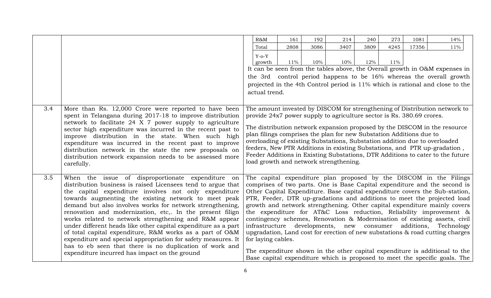|     |                                                                                                                         | $R\&M$                                                                                                                                            | 161    | 192  | 214  | 240  | 273    | 1081  | 14%                                                                                     |
|-----|-------------------------------------------------------------------------------------------------------------------------|---------------------------------------------------------------------------------------------------------------------------------------------------|--------|------|------|------|--------|-------|-----------------------------------------------------------------------------------------|
|     |                                                                                                                         | Total                                                                                                                                             | 2808   | 3086 | 3407 | 3809 | 4245   | 17356 | $11\%$                                                                                  |
|     |                                                                                                                         | $Y-O-Y$                                                                                                                                           |        |      |      |      |        |       |                                                                                         |
|     |                                                                                                                         | growth                                                                                                                                            | $11\%$ | 10%  | 10%  | 12%  | $11\%$ |       |                                                                                         |
|     |                                                                                                                         |                                                                                                                                                   |        |      |      |      |        |       | It can be seen from the tables above, the Overall growth in O&M expenses in             |
|     |                                                                                                                         |                                                                                                                                                   |        |      |      |      |        |       | the 3rd control period happens to be 16% whereas the overall growth                     |
|     |                                                                                                                         |                                                                                                                                                   |        |      |      |      |        |       | projected in the 4th Control period is 11% which is rational and close to the           |
|     |                                                                                                                         | actual trend.                                                                                                                                     |        |      |      |      |        |       |                                                                                         |
|     |                                                                                                                         |                                                                                                                                                   |        |      |      |      |        |       |                                                                                         |
| 3.4 | More than Rs. 12,000 Crore were reported to have been                                                                   |                                                                                                                                                   |        |      |      |      |        |       | The amount invested by DISCOM for strengthening of Distribution network to              |
|     | spent in Telangana during 2017-18 to improve distribution                                                               | provide 24x7 power supply to agriculture sector is Rs. 380.69 crores.                                                                             |        |      |      |      |        |       |                                                                                         |
|     | network to facilitate 24 X 7 power supply to agriculture                                                                |                                                                                                                                                   |        |      |      |      |        |       |                                                                                         |
|     | sector high expenditure was incurred in the recent past to                                                              |                                                                                                                                                   |        |      |      |      |        |       | The distribution network expansion proposed by the DISCOM in the resource               |
|     | improve distribution in the state. When such high                                                                       | plan filings comprises the plan for new Substation Additions due to<br>overloading of existing Substations, Substation addition due to overloaded |        |      |      |      |        |       |                                                                                         |
|     | expenditure was incurred in the recent past to improve                                                                  |                                                                                                                                                   |        |      |      |      |        |       | feeders, New PTR Additions in existing Substations, and PTR up-gradation,               |
|     | distribution network in the state the new proposals on                                                                  |                                                                                                                                                   |        |      |      |      |        |       | Feeder Additions in Existing Substations, DTR Additions to cater to the future          |
|     | distribution network expansion needs to be assessed more<br>carefully.                                                  | load growth and network strengthening.                                                                                                            |        |      |      |      |        |       |                                                                                         |
|     |                                                                                                                         |                                                                                                                                                   |        |      |      |      |        |       |                                                                                         |
| 3.5 | When the issue of disproportionate expenditure on                                                                       |                                                                                                                                                   |        |      |      |      |        |       | The capital expenditure plan proposed by the DISCOM in the Filings                      |
|     | distribution business is raised Licensees tend to argue that                                                            |                                                                                                                                                   |        |      |      |      |        |       | comprises of two parts. One is Base Capital expenditure and the second is               |
|     | the capital expenditure involves not only expenditure                                                                   |                                                                                                                                                   |        |      |      |      |        |       | Other Capital Expenditure. Base capital expenditure covers the Sub-station,             |
|     | towards augmenting the existing network to meet peak                                                                    |                                                                                                                                                   |        |      |      |      |        |       | PTR, Feeder, DTR up-gradations and additions to meet the projected load                 |
|     | demand but also involves works for network strengthening,                                                               |                                                                                                                                                   |        |      |      |      |        |       | growth and network strengthening. Other capital expenditure mainly covers               |
|     | renovation and modernization, etc. In the present filign                                                                |                                                                                                                                                   |        |      |      |      |        |       | the expenditure for AT&C Loss reduction, Reliability improvement &                      |
|     | works related to network strengthening and R&M appear<br>under different heads like other capital expenditure as a part | infrastructure developments, new consumer additions,                                                                                              |        |      |      |      |        |       | contingency schemes, Renovation & Modernisation of existing assets, civil<br>Technology |
|     | of total capital expenditure, R&M works as a part of O&M                                                                |                                                                                                                                                   |        |      |      |      |        |       | upgradation, Land cost for erection of new substations & road cutting charges           |
|     | expenditure and special appropriation for safety measures. It                                                           | for laying cables.                                                                                                                                |        |      |      |      |        |       |                                                                                         |
|     | has to eb seen that there is no duplication of work and                                                                 |                                                                                                                                                   |        |      |      |      |        |       |                                                                                         |
|     | expenditure incurred has impact on the ground                                                                           |                                                                                                                                                   |        |      |      |      |        |       | The expenditure shown in the other capital expenditure is additional to the             |
|     |                                                                                                                         |                                                                                                                                                   |        |      |      |      |        |       | Base capital expenditure which is proposed to meet the specific goals. The              |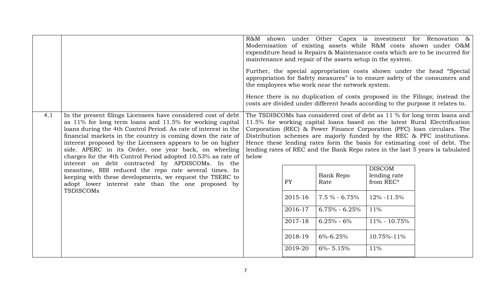|                                                                                                                                                                                                                                                                                                                                                                                                                                                          |                                                                                                                                                                                                                                                                                                                                                                                                                                                                                    |  |           | maintenance and repair of the assets setup in the system.<br>the employees who work near the network system. |                                            | R&M shown under Other Capex is investment for Renovation $\&$<br>Modernisation of existing assets while R&M costs shown under O&M<br>expenditure head is Repairs & Maintenance costs which are to be incurred for<br>Further, the special appropriation costs shown under the head "Special<br>appropriation for Safety measures" is to ensure safety of the consumers and<br>Hence there is no duplication of costs proposed in the Filings; instead the<br>costs are divided under different heads according to the purpose it relates to. |
|----------------------------------------------------------------------------------------------------------------------------------------------------------------------------------------------------------------------------------------------------------------------------------------------------------------------------------------------------------------------------------------------------------------------------------------------------------|------------------------------------------------------------------------------------------------------------------------------------------------------------------------------------------------------------------------------------------------------------------------------------------------------------------------------------------------------------------------------------------------------------------------------------------------------------------------------------|--|-----------|--------------------------------------------------------------------------------------------------------------|--------------------------------------------|----------------------------------------------------------------------------------------------------------------------------------------------------------------------------------------------------------------------------------------------------------------------------------------------------------------------------------------------------------------------------------------------------------------------------------------------------------------------------------------------------------------------------------------------|
| In the present filings Licensees have considered cost of debt<br>4.1<br>as 11% for long term loans and 11.5% for working capital<br>loans during the 4th Control Period. As rate of interest in the<br>financial markets in the country is coming down the rate of<br>interest proposed by the Licensees appears to be on higher<br>side. APERC in its Order, one year back, on wheeling<br>charges for the 4th Control Period adopted 10.53% as rate of | The TSDISCOMs has considered cost of debt as 11 % for long term loans and<br>11.5% for working capital loans based on the latest Rural Electrification<br>Corporation (REC) & Power Finance Corporation (PFC) loan circulars. The<br>Distribution schemes are majorly funded by the REC & PFC institutions.<br>Hence these lending rates form the basis for estimating cost of debt. The<br>lending rates of REC and the Bank Repo rates in the last 5 years is tabulated<br>below |  |           |                                                                                                              |                                            |                                                                                                                                                                                                                                                                                                                                                                                                                                                                                                                                              |
|                                                                                                                                                                                                                                                                                                                                                                                                                                                          | interest on debt contracted by APDISCOMs. In the<br>meantime, RBI reduced the repo rate several times. In<br>keeping with these developments, we request the TSERC to<br>adopt lower interest rate than the one proposed by<br><b>TSDISCOMs</b>                                                                                                                                                                                                                                    |  | <b>FY</b> | <b>Bank Repo</b><br>Rate                                                                                     | <b>DISCOM</b><br>lending rate<br>from REC* |                                                                                                                                                                                                                                                                                                                                                                                                                                                                                                                                              |
|                                                                                                                                                                                                                                                                                                                                                                                                                                                          |                                                                                                                                                                                                                                                                                                                                                                                                                                                                                    |  | 2015-16   | $7.5 \% - 6.75%$                                                                                             | 12% -11.5%                                 |                                                                                                                                                                                                                                                                                                                                                                                                                                                                                                                                              |
|                                                                                                                                                                                                                                                                                                                                                                                                                                                          |                                                                                                                                                                                                                                                                                                                                                                                                                                                                                    |  | 2016-17   | $6.75\% - 6.25\%$                                                                                            | 11%                                        |                                                                                                                                                                                                                                                                                                                                                                                                                                                                                                                                              |
|                                                                                                                                                                                                                                                                                                                                                                                                                                                          |                                                                                                                                                                                                                                                                                                                                                                                                                                                                                    |  | 2017-18   | $6.25% - 6%$                                                                                                 | 11% - 10.75%                               |                                                                                                                                                                                                                                                                                                                                                                                                                                                                                                                                              |
|                                                                                                                                                                                                                                                                                                                                                                                                                                                          |                                                                                                                                                                                                                                                                                                                                                                                                                                                                                    |  | 2018-19   | $6\% - 6.25\%$                                                                                               | 10.75%-11%                                 |                                                                                                                                                                                                                                                                                                                                                                                                                                                                                                                                              |
|                                                                                                                                                                                                                                                                                                                                                                                                                                                          |                                                                                                                                                                                                                                                                                                                                                                                                                                                                                    |  | 2019-20   | $6\% - 5.15\%$                                                                                               | 11%                                        |                                                                                                                                                                                                                                                                                                                                                                                                                                                                                                                                              |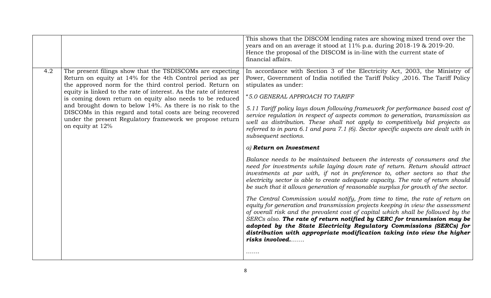|     |                                                                                                                                                                                                                                                                                                                                                                                                                                                                                                                                 | This shows that the DISCOM lending rates are showing mixed trend over the<br>years and on an average it stood at 11% p.a. during 2018-19 & 2019-20.<br>Hence the proposal of the DISCOM is in-line with the current state of<br>financial affairs.                                                                                                                                                                                                                                                                                                                                                                                                                                                                                                                                                                                                                                                                                                                                                                                                                                                                                                                                                                                                                                                                                                                                                                                                                                                                                                       |
|-----|---------------------------------------------------------------------------------------------------------------------------------------------------------------------------------------------------------------------------------------------------------------------------------------------------------------------------------------------------------------------------------------------------------------------------------------------------------------------------------------------------------------------------------|----------------------------------------------------------------------------------------------------------------------------------------------------------------------------------------------------------------------------------------------------------------------------------------------------------------------------------------------------------------------------------------------------------------------------------------------------------------------------------------------------------------------------------------------------------------------------------------------------------------------------------------------------------------------------------------------------------------------------------------------------------------------------------------------------------------------------------------------------------------------------------------------------------------------------------------------------------------------------------------------------------------------------------------------------------------------------------------------------------------------------------------------------------------------------------------------------------------------------------------------------------------------------------------------------------------------------------------------------------------------------------------------------------------------------------------------------------------------------------------------------------------------------------------------------------|
| 4.2 | The present filings show that the TSDISCOMs are expecting<br>Return on equity at 14% for the 4th Control period as per<br>the approved norm for the third control period. Return on<br>equity is linked to the rate of interest. As the rate of interest<br>is coming down return on equity also needs to be reduced<br>and brought down to below 14%. As there is no risk to the<br>DISCOMs in this regard and total costs are being recovered<br>under the present Regulatory framework we propose return<br>on equity at 12% | In accordance with Section 3 of the Electricity Act, 2003, the Ministry of<br>Power, Government of India notified the Tariff Policy , 2016. The Tariff Policy<br>stipulates as under:<br>"5.0 GENERAL APPROACH TO TARIFF<br>5.11 Tariff policy lays down following framework for performance based cost of<br>service regulation in respect of aspects common to generation, transmission as<br>well as distribution. These shall not apply to competitively bid projects as<br>referred to in para 6.1 and para 7.1 (6). Sector specific aspects are dealt with in<br>subsequent sections.<br>$a)$ Return on Investment<br>Balance needs to be maintained between the interests of consumers and the<br>need for investments while laying down rate of return. Return should attract<br>investments at par with, if not in preference to, other sectors so that the<br>electricity sector is able to create adequate capacity. The rate of return should<br>be such that it allows generation of reasonable surplus for growth of the sector.<br>The Central Commission would notify, from time to time, the rate of return on<br>equity for generation and transmission projects keeping in view the assessment<br>of overall risk and the prevalent cost of capital which shall be followed by the<br>SERCs also. The rate of return notified by CERC for transmission may be<br>adopted by the State Electricity Regulatory Commissions (SERCs) for<br>distribution with appropriate modification taking into view the higher<br>risks involved<br>. |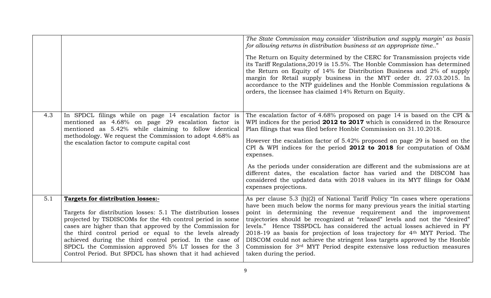|     |                                                                                                                                                                                                                                                                                                                                                                                                                                                                        | The State Commission may consider 'distribution and supply margin' as basis<br>for allowing returns in distribution business at an appropriate time"<br>The Return on Equity determined by the CERC for Transmission projects vide<br>its Tariff Regulations, 2019 is 15.5%. The Honble Commission has determined<br>the Return on Equity of 14% for Distribution Business and 2% of supply<br>margin for Retail supply business in the MYT order dt. 27.03.2015. In<br>accordance to the NTP guidelines and the Honble Commission regulations &<br>orders, the licensee has claimed 14% Return on Equity.                                                               |
|-----|------------------------------------------------------------------------------------------------------------------------------------------------------------------------------------------------------------------------------------------------------------------------------------------------------------------------------------------------------------------------------------------------------------------------------------------------------------------------|--------------------------------------------------------------------------------------------------------------------------------------------------------------------------------------------------------------------------------------------------------------------------------------------------------------------------------------------------------------------------------------------------------------------------------------------------------------------------------------------------------------------------------------------------------------------------------------------------------------------------------------------------------------------------|
| 4.3 | In SPDCL filings while on page 14 escalation factor is<br>mentioned as 4.68% on page 29 escalation factor is<br>mentioned as 5.42% while claiming to follow identical<br>methodology. We request the Commission to adopt 4.68% as<br>the escalation factor to compute capital cost                                                                                                                                                                                     | The escalation factor of 4.68% proposed on page 14 is based on the CPI $\&$<br>WPI indices for the period 2012 to 2017 which is considered in the Resource<br>Plan filings that was filed before Honble Commission on 31.10.2018.<br>However the escalation factor of 5.42% proposed on page 29 is based on the<br>CPI & WPI indices for the period 2012 to 2018 for computation of $O$ &M<br>expenses.<br>As the periods under consideration are different and the submissions are at<br>different dates, the escalation factor has varied and the DISCOM has<br>considered the updated data with 2018 values in its MYT filings for O&M<br>expenses projections.       |
| 5.1 | Targets for distribution losses:-<br>Targets for distribution losses: 5.1 The distribution losses<br>projected by TSDISCOMs for the 4th control period in some<br>cases are higher than that approved by the Commission for<br>the third control period or equal to the levels already<br>achieved during the third control period. In the case of<br>SPDCL the Commission approved 5% LT losses for the 3<br>Control Period. But SPDCL has shown that it had achieved | As per clause 5.3 (h)(2) of National Tariff Policy "In cases where operations<br>have been much below the norms for many previous years the initial starting<br>point in determining the revenue requirement and the improvement<br>trajectories should be recognized at "relaxed" levels and not the "desired"<br>levels." Hence TSSPDCL has considered the actual losses achieved in FY<br>2018-19 as basis for projection of loss trajectory for 4th MYT Period. The<br>DISCOM could not achieve the stringent loss targets approved by the Honble<br>Commission for 3 <sup>rd</sup> MYT Period despite extensive loss reduction measures<br>taken during the period. |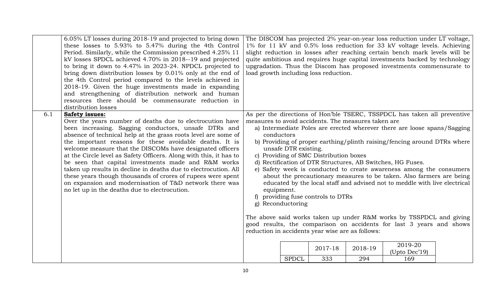|     | 6.05% LT losses during 2018-19 and projected to bring down<br>these losses to 5.93% to 5.47% during the 4th Control<br>Period. Similarly, while the Commission prescribed 4.25% 11<br>kV losses SPDCL achieved 4.70% in 2018--19 and projected<br>to bring it down to 4.47% in 2023-24. NPDCL projected to<br>bring down distribution losses by 0.01% only at the end of<br>the 4th Control period compared to the levels achieved in<br>2018-19. Given the huge investments made in expanding<br>and strengthening of distribution network and human<br>resources there should be commensurate reduction in<br>distribution losses                                                                             |                          |                                           | load growth including loss reduction.                                                                                               |                | The DISCOM has projected 2% year-on-year loss reduction under LT voltage,<br>1% for 11 kV and 0.5% loss reduction for 33 kV voltage levels. Achieving<br>slight reduction in losses after reaching certain bench mark levels will be<br>quite ambitious and requires huge capital investments backed by technology<br>upgradation. Thus the Discom has proposed investments commensurate to                                                                                                                                                                                                                                                                                |  |
|-----|-----------------------------------------------------------------------------------------------------------------------------------------------------------------------------------------------------------------------------------------------------------------------------------------------------------------------------------------------------------------------------------------------------------------------------------------------------------------------------------------------------------------------------------------------------------------------------------------------------------------------------------------------------------------------------------------------------------------|--------------------------|-------------------------------------------|-------------------------------------------------------------------------------------------------------------------------------------|----------------|----------------------------------------------------------------------------------------------------------------------------------------------------------------------------------------------------------------------------------------------------------------------------------------------------------------------------------------------------------------------------------------------------------------------------------------------------------------------------------------------------------------------------------------------------------------------------------------------------------------------------------------------------------------------------|--|
| 6.1 | <b>Safety issues:</b><br>Over the years number of deaths due to electrocution have<br>been increasing. Sagging conductors, unsafe DTRs and<br>absence of technical help at the grass roots level are some of<br>the important reasons for these avoidable deaths. It is<br>welcome measure that the DISCOMs have designated officers<br>at the Circle level as Safety Officers. Along with this, it has to<br>be seen that capital investments made and R&M works<br>taken up results in decline in deaths due to electrocution. All<br>these years though thousands of crores of rupees were spent<br>on expansion and modernisation of T&D network there was<br>no let up in the deaths due to electrocution. | conductors<br>equipment. | unsafe DTR existing.<br>g) Reconductoring | measures to avoid accidents. The measures taken are<br>c) Providing of SMC Distribution boxes<br>f) providing fuse controls to DTRs |                | As per the directions of Hon'ble TSERC, TSSPDCL has taken all preventive<br>a) Intermediate Poles are erected wherever there are loose spans/Sagging<br>b) Providing of proper earthing/plinth raising/fencing around DTRs where<br>d) Rectification of DTR Structures, AB Switches, HG Fuses.<br>e) Safety week is conducted to create awareness among the consumers<br>about the precautionary measures to be taken. Also farmers are being<br>educated by the local staff and advised not to meddle with live electrical<br>The above said works taken up under R&M works by TSSPDCL and giving<br>good results, the comparison on accidents for last 3 years and shows |  |
|     |                                                                                                                                                                                                                                                                                                                                                                                                                                                                                                                                                                                                                                                                                                                 |                          | <b>SPDCL</b>                              | reduction in accidents year wise are as follows:<br>2017-18<br>333                                                                  | 2018-19<br>294 | 2019-20<br>(Upto Dec'19)<br>169                                                                                                                                                                                                                                                                                                                                                                                                                                                                                                                                                                                                                                            |  |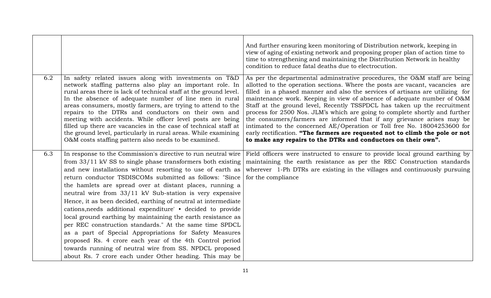|     |                                                                                                                                                                                                                                                                                                                                                                                                                                                                                                                                                                                                                                        | And further ensuring keen monitoring of Distribution network, keeping in<br>view of aging of existing network and proposing proper plan of action time to<br>time to strengthening and maintaining the Distribution Network in healthy<br>condition to reduce fatal deaths due to electrocution.                                                                                                                                                                                                                                                                                                                                                                                                                                                                                        |
|-----|----------------------------------------------------------------------------------------------------------------------------------------------------------------------------------------------------------------------------------------------------------------------------------------------------------------------------------------------------------------------------------------------------------------------------------------------------------------------------------------------------------------------------------------------------------------------------------------------------------------------------------------|-----------------------------------------------------------------------------------------------------------------------------------------------------------------------------------------------------------------------------------------------------------------------------------------------------------------------------------------------------------------------------------------------------------------------------------------------------------------------------------------------------------------------------------------------------------------------------------------------------------------------------------------------------------------------------------------------------------------------------------------------------------------------------------------|
| 6.2 | In safety related issues along with investments on T&D<br>network staffing patterns also play an important role. In<br>rural areas there is lack of technical staff at the ground level.<br>In the absence of adequate number of line men in rural<br>areas consumers, mostly farmers, are trying to attend to the<br>repairs to the DTRs and conductors on their own and<br>meeting with accidents. While officer level posts are being<br>filled up there are vacancies in the case of technical staff at<br>the ground level, particularly in rural areas. While examining<br>O&M costs staffing pattern also needs to be examined. | As per the departmental adminstrative procedures, the O&M staff are being<br>allotted to the operation sections. Where the posts are vacant, vacancies are<br>filled in a phased manner and also the services of artisans are utilizing for<br>maintenance work. Keeping in view of absence of adequate number of O&M<br>Staff at the ground level, Recently TSSPDCL has taken up the recruitment<br>process for 2500 Nos. JLM's which are going to complete shortly and further<br>the consumers/farmers are informed that if any grievance arises may be<br>intimated to the concerned AE/Operation or Toll free No. 18004253600 for<br>early rectification. "The farmers are requested not to climb the pole or not<br>to make any repairs to the DTRs and conductors on their own". |
| 6.3 | In response to the Commission's directive to run neutral wire                                                                                                                                                                                                                                                                                                                                                                                                                                                                                                                                                                          | Field officers were instructed to ensure to provide local ground earthing by                                                                                                                                                                                                                                                                                                                                                                                                                                                                                                                                                                                                                                                                                                            |
|     | from 33/11 kV SS to single phase transformers both existing                                                                                                                                                                                                                                                                                                                                                                                                                                                                                                                                                                            | maintaining the earth resistance as per the REC Construction standards                                                                                                                                                                                                                                                                                                                                                                                                                                                                                                                                                                                                                                                                                                                  |
|     | and new installations without resorting to use of earth as                                                                                                                                                                                                                                                                                                                                                                                                                                                                                                                                                                             | wherever 1-Ph DTRs are existing in the villages and continuously pursuing                                                                                                                                                                                                                                                                                                                                                                                                                                                                                                                                                                                                                                                                                                               |
|     | return conductor TSDISCOMs submitted as follows: "Since                                                                                                                                                                                                                                                                                                                                                                                                                                                                                                                                                                                | for the compliance                                                                                                                                                                                                                                                                                                                                                                                                                                                                                                                                                                                                                                                                                                                                                                      |
|     | the hamlets are spread over at distant places, running a<br>neutral wire from 33/11 kV Sub-station is very expensive                                                                                                                                                                                                                                                                                                                                                                                                                                                                                                                   |                                                                                                                                                                                                                                                                                                                                                                                                                                                                                                                                                                                                                                                                                                                                                                                         |
|     | Hence, it as been decided, earthing of neutral at intermediate                                                                                                                                                                                                                                                                                                                                                                                                                                                                                                                                                                         |                                                                                                                                                                                                                                                                                                                                                                                                                                                                                                                                                                                                                                                                                                                                                                                         |
|     | cations, needs additional expenditure' • decided to provide                                                                                                                                                                                                                                                                                                                                                                                                                                                                                                                                                                            |                                                                                                                                                                                                                                                                                                                                                                                                                                                                                                                                                                                                                                                                                                                                                                                         |
|     | local ground earthing by maintaining the earth resistance as                                                                                                                                                                                                                                                                                                                                                                                                                                                                                                                                                                           |                                                                                                                                                                                                                                                                                                                                                                                                                                                                                                                                                                                                                                                                                                                                                                                         |
|     | per REC construction standards." At the same time SPDCL                                                                                                                                                                                                                                                                                                                                                                                                                                                                                                                                                                                |                                                                                                                                                                                                                                                                                                                                                                                                                                                                                                                                                                                                                                                                                                                                                                                         |
|     | as a part of Special Appropriations for Safety Measures                                                                                                                                                                                                                                                                                                                                                                                                                                                                                                                                                                                |                                                                                                                                                                                                                                                                                                                                                                                                                                                                                                                                                                                                                                                                                                                                                                                         |
|     | proposed Rs. 4 crore each year of the 4th Control period                                                                                                                                                                                                                                                                                                                                                                                                                                                                                                                                                                               |                                                                                                                                                                                                                                                                                                                                                                                                                                                                                                                                                                                                                                                                                                                                                                                         |
|     | towards running of neutral wire from SS. NPDCL proposed                                                                                                                                                                                                                                                                                                                                                                                                                                                                                                                                                                                |                                                                                                                                                                                                                                                                                                                                                                                                                                                                                                                                                                                                                                                                                                                                                                                         |
|     | about Rs. 7 crore each under Other heading. This may be                                                                                                                                                                                                                                                                                                                                                                                                                                                                                                                                                                                |                                                                                                                                                                                                                                                                                                                                                                                                                                                                                                                                                                                                                                                                                                                                                                                         |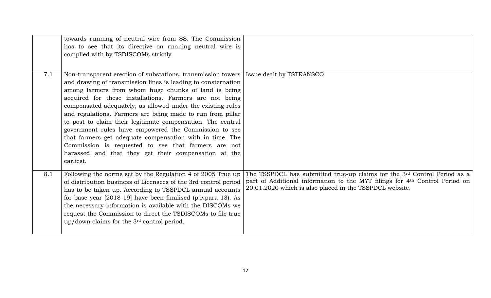|     | towards running of neutral wire from SS. The Commission<br>has to see that its directive on running neutral wire is<br>complied with by TSDISCOMs strictly                                                                                                                                                                                                                                                                                                                                                                                                                                                                                                                                                               |                                                                                                                                                                                                                                |
|-----|--------------------------------------------------------------------------------------------------------------------------------------------------------------------------------------------------------------------------------------------------------------------------------------------------------------------------------------------------------------------------------------------------------------------------------------------------------------------------------------------------------------------------------------------------------------------------------------------------------------------------------------------------------------------------------------------------------------------------|--------------------------------------------------------------------------------------------------------------------------------------------------------------------------------------------------------------------------------|
|     |                                                                                                                                                                                                                                                                                                                                                                                                                                                                                                                                                                                                                                                                                                                          |                                                                                                                                                                                                                                |
| 7.1 | Non-transparent erection of substations, transmission towers   Issue dealt by TSTRANSCO<br>and drawing of transmission lines is leading to consternation<br>among farmers from whom huge chunks of land is being<br>acquired for these installations. Farmers are not being<br>compensated adequately, as allowed under the existing rules<br>and regulations. Farmers are being made to run from pillar<br>to post to claim their legitimate compensation. The central<br>government rules have empowered the Commission to see<br>that farmers get adequate compensation with in time. The<br>Commission is requested to see that farmers are not<br>harassed and that they get their compensation at the<br>earliest. |                                                                                                                                                                                                                                |
| 8.1 | Following the norms set by the Regulation 4 of 2005 True up<br>of distribution business of Licensees of the 3rd control period<br>has to be taken up. According to TSSPDCL annual accounts<br>for base year [2018-19] have been finalised (p.ivpara 13). As<br>the necessary information is available with the DISCOMs we<br>request the Commission to direct the TSDISCOMs to file true<br>up/down claims for the 3rd control period.                                                                                                                                                                                                                                                                                   | The TSSPDCL has submitted true-up claims for the 3rd Control Period as a<br>part of Additional information to the MYT filings for 4 <sup>th</sup> Control Period on<br>20.01.2020 which is also placed in the TSSPDCL website. |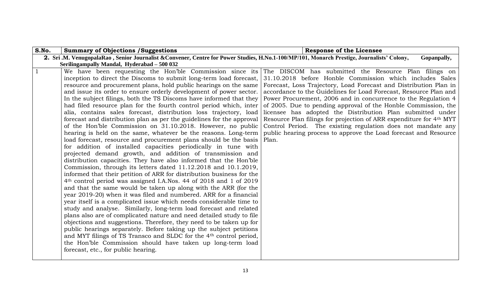<span id="page-12-0"></span>

| S.No.        | <b>Summary of Objections / Suggestions</b>                                                                                                 | <b>Response of the Licensee</b>                                     |
|--------------|--------------------------------------------------------------------------------------------------------------------------------------------|---------------------------------------------------------------------|
|              | 2. Sri.M. VenugopalaRao, Senior Journalist & Convener, Centre for Power Studies, H.No.1-100/MP/101, Monarch Prestige, Journalists' Colony, | Gopanpally,                                                         |
|              | Serilingampally Mandal, Hyderabad - 500 032                                                                                                |                                                                     |
| $\mathbf{1}$ | We have been requesting the Hon'ble Commission since its                                                                                   | The DISCOM has submitted the Resource Plan filings on               |
|              | inception to direct the Discoms to submit long-term load forecast,                                                                         | 31.10.2018 before Honble Commission which includes Sales            |
|              | resource and procurement plans, hold public hearings on the same                                                                           | Forecast, Loss Trajectory, Load Forecast and Distribution Plan in   |
|              | and issue its order to ensure orderly development of power sector.                                                                         | accordance to the Guidelines for Load Forecast, Resource Plan and   |
|              | In the subject filings, both the TS Discoms have informed that they                                                                        | Power Procurement, 2006 and in concurrence to the Regulation 4      |
|              | had filed resource plan for the fourth control period which, inter                                                                         | of 2005. Due to pending approval of the Honble Commission, the      |
|              | alia, contains sales forecast, distribution loss trajectory, load                                                                          | licensee has adopted the Distribution Plan submitted under          |
|              | forecast and distribution plan as per the guidelines for the approval                                                                      | Resource Plan filings for projection of ARR expenditure for 4th MYT |
|              | of the Hon'ble Commission on 31.10.2018. However, no public                                                                                | Control Period. The existing regulation does not mandate any        |
|              | hearing is held on the same, whatever be the reasons. Long-term                                                                            | public hearing process to approve the Load forecast and Resource    |
|              | load forecast, resource and procurement plans should be the basis                                                                          | Plan.                                                               |
|              | for addition of installed capacities periodically in tune with                                                                             |                                                                     |
|              | projected demand growth, and addition of transmission and                                                                                  |                                                                     |
|              | distribution capacities. They have also informed that the Hon'ble                                                                          |                                                                     |
|              | Commission, through its letters dated 11.12.2018 and 10.1.2019,                                                                            |                                                                     |
|              | informed that their petition of ARR for distribution business for the                                                                      |                                                                     |
|              | 4 <sup>th</sup> control period was assigned I.A.Nos. 44 of 2018 and 1 of 2019                                                              |                                                                     |
|              | and that the same would be taken up along with the ARR (for the                                                                            |                                                                     |
|              | year 2019-20) when it was filed and numbered. ARR for a financial                                                                          |                                                                     |
|              | year itself is a complicated issue which needs considerable time to                                                                        |                                                                     |
|              | study and analyse. Similarly, long-term load forecast and related                                                                          |                                                                     |
|              | plans also are of complicated nature and need detailed study to file                                                                       |                                                                     |
|              | objections and suggestions. Therefore, they need to be taken up for                                                                        |                                                                     |
|              | public hearings separately. Before taking up the subject petitions                                                                         |                                                                     |
|              | and MYT filings of TS Transco and SLDC for the 4th control period,                                                                         |                                                                     |
|              | the Hon'ble Commission should have taken up long-term load                                                                                 |                                                                     |
|              | forecast, etc., for public hearing.                                                                                                        |                                                                     |
|              |                                                                                                                                            |                                                                     |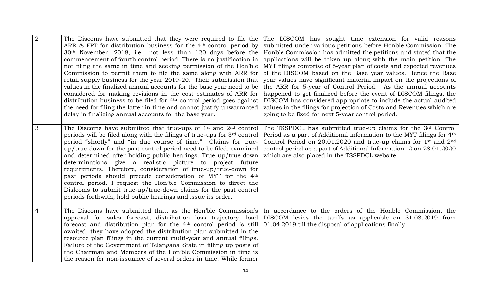| $\overline{2}$ | The Discoms have submitted that they were required to file the<br>ARR & FPT for distribution business for the 4 <sup>th</sup> control period by<br>30 <sup>th</sup> November, 2018, i.e., not less than 120 days before the<br>commencement of fourth control period. There is no justification in<br>not filing the same in time and seeking permission of the Hon'ble<br>Commission to permit them to file the same along with ARR for<br>retail supply business for the year 2019-20. Their submission that<br>values in the finalized annual accounts for the base year need to be<br>considered for making revisions in the cost estimates of ARR for<br>distribution business to be filed for 4 <sup>th</sup> control period goes against<br>the need for filing the latter in time and cannot justify unwarranted<br>delay in finalizing annual accounts for the base year. | The DISCOM has sought time extension for valid reasons<br>submitted under various petitions before Honble Commission. The<br>Honble Commission has admitted the petitions and stated that the<br>applications will be taken up along with the main petition. The<br>MYT filings comprise of 5-year plan of costs and expected revenues<br>of the DISCOM based on the Base year values. Hence the Base<br>year values have significant material impact on the projections of<br>the ARR for 5-year of Control Period. As the annual accounts<br>happened to get finalized before the event of DISCOM filings, the<br>DISCOM has considered appropriate to include the actual audited<br>values in the filings for projection of Costs and Revenues which are<br>going to be fixed for next 5-year control period. |
|----------------|------------------------------------------------------------------------------------------------------------------------------------------------------------------------------------------------------------------------------------------------------------------------------------------------------------------------------------------------------------------------------------------------------------------------------------------------------------------------------------------------------------------------------------------------------------------------------------------------------------------------------------------------------------------------------------------------------------------------------------------------------------------------------------------------------------------------------------------------------------------------------------|------------------------------------------------------------------------------------------------------------------------------------------------------------------------------------------------------------------------------------------------------------------------------------------------------------------------------------------------------------------------------------------------------------------------------------------------------------------------------------------------------------------------------------------------------------------------------------------------------------------------------------------------------------------------------------------------------------------------------------------------------------------------------------------------------------------|
| 3              | The Discoms have submitted that true-ups of $1st$ and $2nd$ control<br>periods will be filed along with the filings of true-ups for 3rd control<br>period "shortly" and "in due course of time." Claims for true-<br>up/true-down for the past control period need to be filed, examined<br>and determined after holding public hearings. True-up/true-down<br>determinations give a realistic picture to project future<br>requirements. Therefore, consideration of true-up/true-down for<br>past periods should precede consideration of MYT for the 4 <sup>th</sup><br>control period. I request the Hon'ble Commission to direct the<br>Dislcoms to submit true-up/true-down claims for the past control<br>periods forthwith, hold public hearings and issue its order.                                                                                                      | The TSSPDCL has submitted true-up claims for the 3rd Control<br>Period as a part of Additional information to the MYT filings for 4 <sup>th</sup><br>Control Period on $20.01.2020$ and true-up claims for 1 <sup>st</sup> and $2nd$<br>control period as a part of Additional Information -2 on 28.01.2020<br>which are also placed in the TSSPDCL website.                                                                                                                                                                                                                                                                                                                                                                                                                                                     |
| 4              | The Discoms have submitted that, as the Hon'ble Commission's<br>approval for sales forecast, distribution loss trajectory, load<br>forecast and distribution plan for the 4 <sup>th</sup> control period is still<br>awaited, they have adopted the distribution plan submitted in the<br>resource plan filings in the current multi-year and annual filings.<br>Failure of the Government of Telangana State in filling up posts of<br>the Chairman and Members of the Hon'ble Commission in time is<br>the reason for non-issuance of several orders in time. While former                                                                                                                                                                                                                                                                                                       | In accordance to the orders of the Honble Commission, the<br>DISCOM levies the tariffs as applicable on 31.03.2019 from<br>01.04.2019 till the disposal of applications finally.                                                                                                                                                                                                                                                                                                                                                                                                                                                                                                                                                                                                                                 |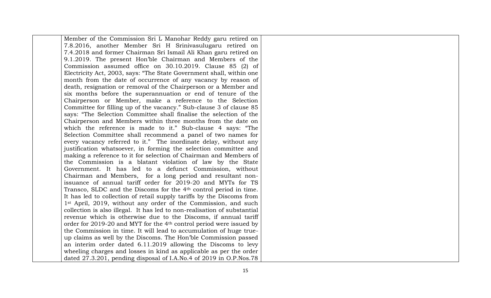| Member of the Commission Sri L Manohar Reddy garu retired on                    |  |
|---------------------------------------------------------------------------------|--|
| 7.8.2016, another Member Sri H Srinivasulugaru retired on                       |  |
| 7.4.2018 and former Chairman Sri Ismail Ali Khan garu retired on                |  |
| 9.1.2019. The present Hon'ble Chairman and Members of the                       |  |
| Commission assumed office on 30.10.2019. Clause 85 (2) of                       |  |
| Electricity Act, 2003, says: "The State Government shall, within one            |  |
| month from the date of occurrence of any vacancy by reason of                   |  |
| death, resignation or removal of the Chairperson or a Member and                |  |
| six months before the superannuation or end of tenure of the                    |  |
| Chairperson or Member, make a reference to the Selection                        |  |
| Committee for filling up of the vacancy." Sub-clause 3 of clause 85             |  |
| says: "The Selection Committee shall finalise the selection of the              |  |
| Chairperson and Members within three months from the date on                    |  |
| which the reference is made to it." Sub-clause 4 says: "The                     |  |
| Selection Committee shall recommend a panel of two names for                    |  |
| every vacancy referred to it." The inordinate delay, without any                |  |
| justification whatsoever, in forming the selection committee and                |  |
| making a reference to it for selection of Chairman and Members of               |  |
| the Commission is a blatant violation of law by the State                       |  |
| Government. It has led to a defunct Commission, without                         |  |
| Chairman and Members, for a long period and resultant non-                      |  |
| issuance of annual tariff order for 2019-20 and MYTs for TS                     |  |
| Transco, SLDC and the Discoms for the 4 <sup>th</sup> control period in time.   |  |
| It has led to collection of retail supply tariffs by the Discoms from           |  |
| 1 <sup>st</sup> April, 2019, without any order of the Commission, and such      |  |
| collection is also illegal. It has led to non-realisation of substantial        |  |
| revenue which is otherwise due to the Discoms, if annual tariff                 |  |
| order for 2019-20 and MYT for the 4 <sup>th</sup> control period were issued by |  |
| the Commission in time. It will lead to accumulation of huge true-              |  |
| up claims as well by the Discoms. The Hon'ble Commission passed                 |  |
| an interim order dated 6.11.2019 allowing the Discoms to levy                   |  |
| wheeling charges and losses in kind as applicable as per the order              |  |
| dated 27.3.201, pending disposal of I.A.No.4 of 2019 in O.P.Nos.78              |  |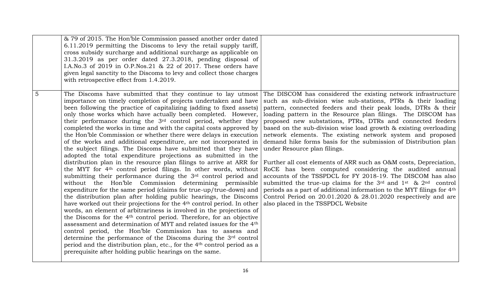|                | & 79 of 2015. The Hon'ble Commission passed another order dated<br>6.11.2019 permitting the Discoms to levy the retail supply tariff,<br>cross subsidy surcharge and additional surcharge as applicable on<br>31.3.2019 as per order dated 27.3.2018, pending disposal of<br>I.A.No.3 of 2019 in O.P.Nos.21 & 22 of 2017. These orders have<br>given legal sanctity to the Discoms to levy and collect those charges<br>with retrospective effect from 1.4.2019.                                                                                                                                                                                                                                                                                                                                                                                                                                                                                                                                                                                                                                                                                                                                                                                                                                                                                                                                                                                                                                                                                                                                                                                                                                                                                      |                                                                                                                                                                                                                                                                                                                                                                                                                                                                                                                                                                                                                                                                                                                                                                                                                                                                                                                                                                                                                                           |
|----------------|-------------------------------------------------------------------------------------------------------------------------------------------------------------------------------------------------------------------------------------------------------------------------------------------------------------------------------------------------------------------------------------------------------------------------------------------------------------------------------------------------------------------------------------------------------------------------------------------------------------------------------------------------------------------------------------------------------------------------------------------------------------------------------------------------------------------------------------------------------------------------------------------------------------------------------------------------------------------------------------------------------------------------------------------------------------------------------------------------------------------------------------------------------------------------------------------------------------------------------------------------------------------------------------------------------------------------------------------------------------------------------------------------------------------------------------------------------------------------------------------------------------------------------------------------------------------------------------------------------------------------------------------------------------------------------------------------------------------------------------------------------|-------------------------------------------------------------------------------------------------------------------------------------------------------------------------------------------------------------------------------------------------------------------------------------------------------------------------------------------------------------------------------------------------------------------------------------------------------------------------------------------------------------------------------------------------------------------------------------------------------------------------------------------------------------------------------------------------------------------------------------------------------------------------------------------------------------------------------------------------------------------------------------------------------------------------------------------------------------------------------------------------------------------------------------------|
| $\overline{5}$ | The Discoms have submitted that they continue to lay utmost<br>importance on timely completion of projects undertaken and have<br>been following the practice of capitalizing (adding to fixed assets)<br>only those works which have actually been completed. However,<br>their performance during the 3 <sup>rd</sup> control period, whether they<br>completed the works in time and with the capital costs approved by<br>the Hon'ble Commission or whether there were delays in execution<br>of the works and additional expenditure, are not incorporated in<br>the subject filings. The Discoms have submitted that they have<br>adopted the total expenditure projections as submitted in the<br>distribution plan in the resource plan filings to arrive at ARR for<br>the MYT for 4 <sup>th</sup> control period filings. In other words, without<br>submitting their performance during the 3rd control period and<br>without the Hon'ble Commission determining permissible<br>expenditure for the same period (claims for true-up/true-down) and<br>the distribution plan after holding public hearings, the Discoms<br>have worked out their projections for the 4 <sup>th</sup> control period. In other<br>words, an element of arbitrariness is involved in the projections of<br>the Discoms for the 4 <sup>th</sup> control period. Therefore, for an objective<br>assessment and determination of MYT and related issues for the 4 <sup>th</sup><br>control period, the Hon'ble Commission has to assess and<br>determine the performance of the Discoms during the 3rd control<br>period and the distribution plan, etc., for the 4 <sup>th</sup> control period as a<br>prerequisite after holding public hearings on the same. | The DISCOM has considered the existing network infrastructure<br>such as sub-division wise sub-stations, PTRs & their loading<br>pattern, connected feeders and their peak loads, DTRs & their<br>loading pattern in the Resource plan filings. The DISCOM has<br>proposed new substations, PTRs, DTRs and connected feeders<br>based on the sub-division wise load growth & existing overloading<br>network elements. The existing network system and proposed<br>demand hike forms basis for the submission of Distribution plan<br>under Resource plan filings.<br>Further all cost elements of ARR such as O&M costs, Depreciation,<br>RoCE has been computed considering the audited annual<br>accounts of the TSSPDCL for FY 2018-19. The DISCOM has also<br>submitted the true-up claims for the $3rd$ and $1st$ & $2nd$ control<br>periods as a part of additional information to the MYT filings for 4 <sup>th</sup><br>Control Period on $20.01.2020$ & $28.01.2020$ respectively and are<br>also placed in the TSSPDCL Website |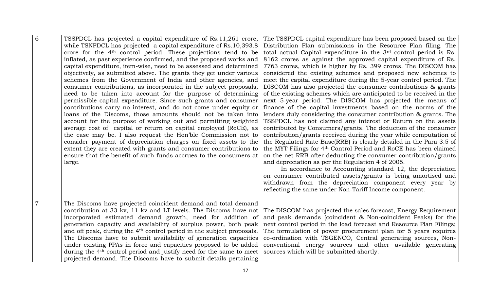| 6              | TSSPDCL has projected a capital expenditure of Rs.11,261 crore,<br>while TSNPDCL has projected a capital expenditure of Rs.10,393.8                   | The TSSPDCL capital expenditure has been proposed based on the<br>Distribution Plan submissions in the Resource Plan filing. The      |
|----------------|-------------------------------------------------------------------------------------------------------------------------------------------------------|---------------------------------------------------------------------------------------------------------------------------------------|
|                | crore for the 4 <sup>th</sup> control period. These projections tend to be                                                                            | total actual Capital expenditure in the 3rd control period is Rs.                                                                     |
|                | inflated, as past experience confirmed, and the proposed works and                                                                                    | 8162 crores as against the approved capital expenditure of Rs.                                                                        |
|                | capital expenditure, item-wise, need to be assessed and determined                                                                                    | 7763 crores, which is higher by Rs. 399 crores. The DISCOM has                                                                        |
|                | objectively, as submitted above. The grants they get under various                                                                                    | considered the existing schemes and proposed new schemes to                                                                           |
|                | schemes from the Government of India and other agencies, and                                                                                          | meet the capital expenditure during the 5-year control period. The                                                                    |
|                | consumer contributions, as incorporated in the subject proposals,                                                                                     | DISCOM has also projected the consumer contributions & grants                                                                         |
|                | need to be taken into account for the purpose of determining                                                                                          | of the existing schemes which are anticipated to be received in the                                                                   |
|                | permissible capital expenditure. Since such grants and consumer                                                                                       | next 5-year period. The DISCOM has projected the means of                                                                             |
|                | contributions carry no interest, and do not come under equity or<br>loans of the Discoms, those amounts should not be taken into                      | finance of the capital investments based on the norms of the<br>lenders duly considering the consumer contribution & grants. The      |
|                | account for the purpose of working out and permitting weighted                                                                                        | TSSPDCL has not claimed any interest or Return on the assets                                                                          |
|                | average cost of capital or return on capital employed (RoCE), as                                                                                      | contributed by Consumers/grants. The deduction of the consumer                                                                        |
|                | the case may be. I also request the Hon'ble Commission not to                                                                                         | contribution/grants received during the year while computation of                                                                     |
|                | consider payment of depreciation charges on fixed assets to the                                                                                       | the Regulated Rate Base(RRB) is clearly detailed in the Para 3.5 of                                                                   |
|                | extent they are created with grants and consumer contributions to                                                                                     | the MYT Filings for 4 <sup>th</sup> Control Period and RoCE has been claimed                                                          |
|                | ensure that the benefit of such funds accrues to the consumers at                                                                                     | on the net RRB after deducting the consumer contribution/grants                                                                       |
|                | large.                                                                                                                                                | and depreciation as per the Regulation 4 of 2005.                                                                                     |
|                |                                                                                                                                                       | In accordance to Accounting standard 12, the depreciation<br>on consumer contributed assets/grants is being amortised and             |
|                |                                                                                                                                                       | withdrawn from the depreciation component every year by                                                                               |
|                |                                                                                                                                                       | reflecting the same under Non-Tariff Income component.                                                                                |
|                |                                                                                                                                                       |                                                                                                                                       |
| $\overline{7}$ | The Discoms have projected coincident demand and total demand                                                                                         |                                                                                                                                       |
|                | contribution at 33 kv, 11 kv and LT levels. The Discoms have not                                                                                      | The DISCOM has projected the sales forecast, Energy Requirement                                                                       |
|                | incorporated estimated demand growth, need for addition of                                                                                            | and peak demands (coincident & Non-coincident Peaks) for the                                                                          |
|                | generation capacity and availability of surplus power, both peak<br>and off peak, during the 4 <sup>th</sup> control period in the subject proposals. | next control period in the load forecast and Resource Plan Filings;<br>The formulation of power procurement plan for 5 years requires |
|                | The Discoms have to submit availability of generation capacities                                                                                      | co-ordination with TSGENCO, Central generating sources, Non-                                                                          |
|                | under existing PPAs in force and capacities proposed to be added                                                                                      | conventional energy sources and other available generating                                                                            |
|                | during the 4 <sup>th</sup> control period and justify need for the same to meet                                                                       | sources which will be submitted shortly.                                                                                              |
|                | projected demand. The Discoms have to submit details pertaining                                                                                       |                                                                                                                                       |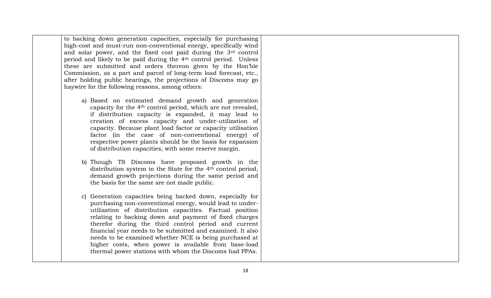to backing down generation capacities, especially for purchasing high-cost and must-run non-conventional energy, specifically wind and solar power, and the fixed cost paid during the 3rd control period and likely to be paid during the 4th control period. Unless these are submitted and orders thereon given by the Hon'ble Commission, as a part and parcel of long-term load forecast, etc., after holding public hearings, the projections of Discoms may go haywire for the following reasons, among others:

- a) Based on estimated demand growth and generation capacity for the 4th control period, which are not revealed, if distribution capacity is expanded, it may lead to creation of excess capacity and under-utilization of capacity. Because plant load factor or capacity utilisation factor (in the case of non-conventional energy) of respective power plants should be the basis for expansion of distribution capacities, with some reserve margin.
- b) Though TS Discoms have proposed growth in the distribution system in the State for the 4th control period, demand growth projections during the same period and the basis for the same are not made public.
- c) Generation capacities being backed down, especially for purchasing non-conventional energy, would lead to underutilization of distribution capacities. Factual position relating to backing down and payment of fixed charges therefor during the third control period and current financial year needs to be submitted and examined. It also needs to be examined whether NCE is being purchased at higher costs, when power is available from base-load thermal power stations with whom the Discoms had PPAs.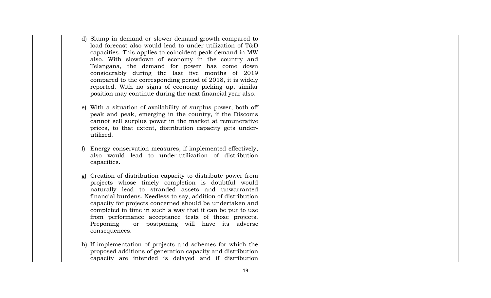| d) Slump in demand or slower demand growth compared to                                                            |  |
|-------------------------------------------------------------------------------------------------------------------|--|
| load forecast also would lead to under-utilization of T&D                                                         |  |
| capacities. This applies to coincident peak demand in MW                                                          |  |
| also. With slowdown of economy in the country and                                                                 |  |
| Telangana, the demand for power has come down                                                                     |  |
| considerably during the last five months of 2019                                                                  |  |
| compared to the corresponding period of 2018, it is widely                                                        |  |
| reported. With no signs of economy picking up, similar                                                            |  |
| position may continue during the next financial year also.                                                        |  |
|                                                                                                                   |  |
| With a situation of availability of surplus power, both off<br>e)                                                 |  |
| peak and peak, emerging in the country, if the Discoms                                                            |  |
| cannot sell surplus power in the market at remunerative                                                           |  |
| prices, to that extent, distribution capacity gets under-                                                         |  |
| utilized.                                                                                                         |  |
|                                                                                                                   |  |
| Energy conservation measures, if implemented effectively,<br>also would lead to under-utilization of distribution |  |
| capacities.                                                                                                       |  |
|                                                                                                                   |  |
| Creation of distribution capacity to distribute power from<br>g)                                                  |  |
| projects whose timely completion is doubtful would                                                                |  |
| naturally lead to stranded assets and unwarranted                                                                 |  |
| financial burdens. Needless to say, addition of distribution                                                      |  |
| capacity for projects concerned should be undertaken and                                                          |  |
| completed in time in such a way that it can be put to use                                                         |  |
| from performance acceptance tests of those projects.                                                              |  |
| Preponing<br>or postponing will have its adverse                                                                  |  |
| consequences.                                                                                                     |  |
|                                                                                                                   |  |
| h) If implementation of projects and schemes for which the                                                        |  |
| proposed additions of generation capacity and distribution                                                        |  |
| capacity are intended is delayed and if distribution                                                              |  |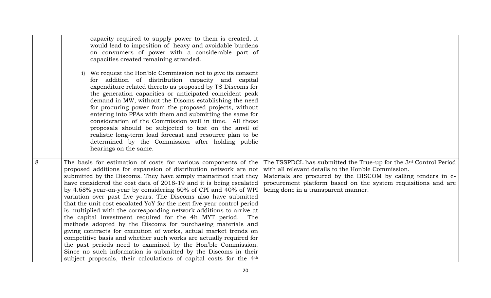|   | capacity required to supply power to them is created, it                       |                                                                  |
|---|--------------------------------------------------------------------------------|------------------------------------------------------------------|
|   | would lead to imposition of heavy and avoidable burdens                        |                                                                  |
|   | on consumers of power with a considerable part of                              |                                                                  |
|   | capacities created remaining stranded.                                         |                                                                  |
|   |                                                                                |                                                                  |
|   | i) We request the Hon'ble Commission not to give its consent                   |                                                                  |
|   | for addition of distribution capacity and capital                              |                                                                  |
|   | expenditure related thereto as proposed by TS Discoms for                      |                                                                  |
|   | the generation capacities or anticipated coincident peak                       |                                                                  |
|   | demand in MW, without the Disoms establishing the need                         |                                                                  |
|   | for procuring power from the proposed projects, without                        |                                                                  |
|   | entering into PPAs with them and submitting the same for                       |                                                                  |
|   | consideration of the Commission well in time. All these                        |                                                                  |
|   | proposals should be subjected to test on the anvil of                          |                                                                  |
|   | realistic long-term load forecast and resource plan to be                      |                                                                  |
|   | determined by the Commission after holding public                              |                                                                  |
|   | hearings on the same.                                                          |                                                                  |
|   |                                                                                |                                                                  |
| 8 | The basis for estimation of costs for various components of the                | The TSSPDCL has submitted the True-up for the 3rd Control Period |
|   | proposed additions for expansion of distribution network are not               | with all relevant details to the Honble Commission.              |
|   | submitted by the Discoms. They have simply mainatined that they                | Materials are procured by the DISCOM by calling tenders in e-    |
|   | have considered the cost data of 2018-19 and it is being escalated             | procurement platform based on the system requisitions and are    |
|   | by 4.68% year-on-year by considering 60% of CPI and 40% of WPI                 | being done in a transparent manner.                              |
|   | variation over past five years. The Discoms also have submitted                |                                                                  |
|   | that the unit cost escalated YoY for the next five-year control period         |                                                                  |
|   | is multiplied with the corresponding network additions to arrive at            |                                                                  |
|   | the capital investment required for the 4h MYT period.<br>The                  |                                                                  |
|   | methods adopted by the Discoms for purchasing materials and                    |                                                                  |
|   | giving contracts for execution of works, actual market trends on               |                                                                  |
|   | competitive basis and whether such works are actually required for             |                                                                  |
|   | the past periods need to examined by the Hon'ble Commission.                   |                                                                  |
|   | Since no such information is submitted by the Discoms in their                 |                                                                  |
|   | subject proposals, their calculations of capital costs for the 4 <sup>th</sup> |                                                                  |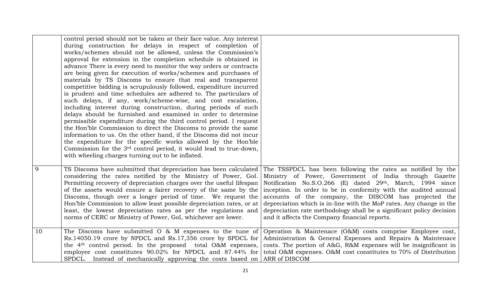|    | control period should not be taken at their face value. Any interest<br>during construction for delays in respect of completion of<br>works/schemes should not be allowed, unless the Commission's<br>approval for extension in the completion schedule is obtained in<br>advance There is every need to monitor the way orders or contracts<br>are being given for execution of works/schemes and purchases of<br>materials by TS Discoms to ensure that real and transparent<br>competitive bidding is scrupulously followed, expenditure incurred<br>is prudent and time schedules are adhered to. The particulars of<br>such delays, if any, work/scheme-wise, and cost escalation,<br>including interest during construction, during periods of such<br>delays should be furnished and examined in order to determine<br>permissible expenditure during the third control period. I request<br>the Hon'ble Commission to direct the Discoms to provide the same<br>information to us. On the other hand, if the Discoms did not incur<br>the expenditure for the specific works allowed by the Hon'ble<br>Commission for the 3 <sup>rd</sup> control period, it would lead to true-down,<br>with wheeling charges turning out to be inflated. |                                                                                                                                                                                                                                                                                                                                                                                                                                                                                                                |
|----|----------------------------------------------------------------------------------------------------------------------------------------------------------------------------------------------------------------------------------------------------------------------------------------------------------------------------------------------------------------------------------------------------------------------------------------------------------------------------------------------------------------------------------------------------------------------------------------------------------------------------------------------------------------------------------------------------------------------------------------------------------------------------------------------------------------------------------------------------------------------------------------------------------------------------------------------------------------------------------------------------------------------------------------------------------------------------------------------------------------------------------------------------------------------------------------------------------------------------------------------------|----------------------------------------------------------------------------------------------------------------------------------------------------------------------------------------------------------------------------------------------------------------------------------------------------------------------------------------------------------------------------------------------------------------------------------------------------------------------------------------------------------------|
| 9  | TS Discoms have submitted that depreciation has been calculated<br>considering the rates notified by the Ministry of Power, GoI.<br>Permitting recovery of depreciation charges over the useful lifespan<br>of the assets would ensure a fairer recovery of the same by the<br>Discoms, though over a longer period of time. We request the<br>Hon'ble Commission to allow least possible depreciation rates, or at<br>least, the lowest depreciation rates as per the regulations and<br>norms of CERC or Ministry of Power, GoI, whichever are lower.                                                                                                                                                                                                                                                                                                                                                                                                                                                                                                                                                                                                                                                                                            | The TSSPDCL has been following the rates as notified by the<br>Ministry of Power, Government of India through Gazette<br>Notification No.S.O.266 (E) dated 29th, March, 1994 since<br>inception. In order to be in conformity with the audited annual<br>accounts of the company, the DISCOM has projected the<br>depreciation which is in-line with the MoP rates. Any change in the<br>depreciation rate methodology shall be a significant policy decision<br>and it affects the Company financial reports. |
| 10 | The Discoms have submitted $\sigma$ & M expenses to the tune of<br>Rs.14050.19 crore by NPDCL and Rs.17,356 crore by SPDCL for<br>the 4 <sup>th</sup> control period. In the proposed total O&M expenses,<br>employee cost constitutes 90.02% for NPDCL and 87.44% for<br>SPDCL. Instead of mechanically approving the costs based on                                                                                                                                                                                                                                                                                                                                                                                                                                                                                                                                                                                                                                                                                                                                                                                                                                                                                                              | Operation & Maintenace (O&M) costs comprise Employee cost,<br>Administration & General Expenses and Repairs & Maintenace<br>costs. The portion of A&G, R&M expenses will be insignificant in<br>total O&M expenses. O&M cost constitutes to 70% of Distribution<br>ARR of DISCOM                                                                                                                                                                                                                               |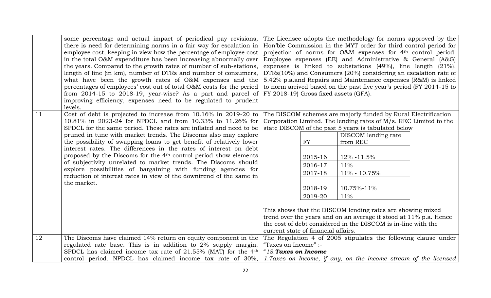|    | some percentage and actual impact of periodical pay revisions,                                                                       |                                                                          |                                                                | The Licensee adopts the methodology for norms approved by the       |  |  |
|----|--------------------------------------------------------------------------------------------------------------------------------------|--------------------------------------------------------------------------|----------------------------------------------------------------|---------------------------------------------------------------------|--|--|
|    | there is need for determining norms in a fair way for escalation in                                                                  |                                                                          |                                                                | Hon'ble Commission in the MYT order for third control period for    |  |  |
|    | employee cost, keeping in view how the percentage of employee cost                                                                   | projection of norms for O&M expenses for 4 <sup>th</sup> control period. |                                                                |                                                                     |  |  |
|    | in the total O&M expenditure has been increasing abnormally over                                                                     | Employee expenses (EE) and Administrative $\&$ General (A $\&$ G)        |                                                                |                                                                     |  |  |
|    | the years. Compared to the growth rates of number of sub-stations,                                                                   |                                                                          |                                                                | expenses is linked to substations $(49\%)$ , line length $(21\%)$ , |  |  |
|    | length of line (in km), number of DTRs and number of consumers,                                                                      |                                                                          |                                                                | DTRs(10%) and Consumers (20%) considering an escalation rate of     |  |  |
|    | what have been the growth rates of O&M expenses and the                                                                              |                                                                          | 5.42% p.a.and Repairs and Maintenance expenses (R&M) is linked |                                                                     |  |  |
|    | percentages of employees' cost out of total O&M costs for the period                                                                 | to norm arrived based on the past five year's period (FY 2014-15 to      |                                                                |                                                                     |  |  |
|    | from 2014-15 to 2018-19, year-wise? As a part and parcel of                                                                          |                                                                          | FY 2018-19) Gross fixed assets (GFA).                          |                                                                     |  |  |
|    | improving efficiency, expenses need to be regulated to prudent                                                                       |                                                                          |                                                                |                                                                     |  |  |
|    | levels.                                                                                                                              |                                                                          |                                                                |                                                                     |  |  |
| 11 | Cost of debt is projected to increase from 10.16% in 2019-20 to                                                                      |                                                                          |                                                                | The DISCOM schemes are majorly funded by Rural Electrification      |  |  |
|    | 10.81% in 2023-24 for NPDCL and from 10.33% to 11.26% for                                                                            |                                                                          |                                                                | Corporation Limited. The lending rates of M/s. REC Limited to the   |  |  |
|    | SPDCL for the same period. These rates are inflated and need to be                                                                   |                                                                          |                                                                | state DISCOM of the past 5 years is tabulated below                 |  |  |
|    | pruned in tune with market trends. The Discoms also may explore                                                                      |                                                                          |                                                                | DISCOM lending rate                                                 |  |  |
|    | the possibility of swapping loans to get benefit of relatively lower                                                                 |                                                                          | FY                                                             | from REC                                                            |  |  |
|    | interest rates. The differences in the rates of interest on debt                                                                     |                                                                          |                                                                |                                                                     |  |  |
|    | proposed by the Discoms for the 4 <sup>th</sup> control period show elements                                                         |                                                                          | 2015-16                                                        | 12% -11.5%                                                          |  |  |
|    | of subjectivity unrelated to market trends. The Discoms should                                                                       |                                                                          | 2016-17                                                        | 11%                                                                 |  |  |
|    | explore possibilities of bargaining with funding agencies for<br>reduction of interest rates in view of the downtrend of the same in |                                                                          | 2017-18                                                        | 11% - 10.75%                                                        |  |  |
|    | the market.                                                                                                                          |                                                                          |                                                                |                                                                     |  |  |
|    |                                                                                                                                      |                                                                          | 2018-19                                                        | 10.75%-11%                                                          |  |  |
|    |                                                                                                                                      |                                                                          | 2019-20                                                        | 11%                                                                 |  |  |
|    |                                                                                                                                      |                                                                          |                                                                |                                                                     |  |  |
|    |                                                                                                                                      |                                                                          |                                                                | This shows that the DISCOM lending rates are showing mixed          |  |  |
|    |                                                                                                                                      |                                                                          |                                                                | trend over the years and on an average it stood at 11% p.a. Hence   |  |  |
|    |                                                                                                                                      |                                                                          |                                                                | the cost of debt considered in the DISCOM is in-line with the       |  |  |
|    |                                                                                                                                      |                                                                          | current state of financial affairs.                            |                                                                     |  |  |
| 12 | The Discoms have claimed 14% return on equity component in the                                                                       |                                                                          |                                                                | The Regulation 4 of 2005 stipulates the following clause under      |  |  |
|    | regulated rate base. This is in addition to 2% supply margin.                                                                        | "Taxes on Income" :-                                                     |                                                                |                                                                     |  |  |
|    | SPDCL has claimed income tax rate of $21.55\%$ (MAT) for the 4 <sup>th</sup>                                                         | "18. Taxes on Income                                                     |                                                                |                                                                     |  |  |
|    | control period. NPDCL has claimed income tax rate of 30%,                                                                            |                                                                          |                                                                | 1. Taxes on Income, if any, on the income stream of the licensed    |  |  |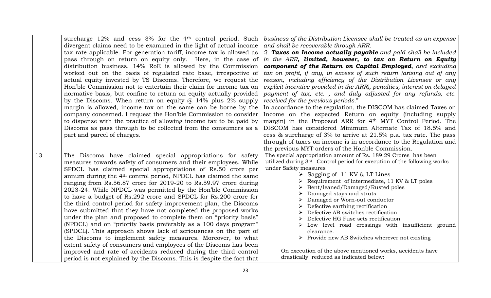|                 | surcharge 12% and cess 3% for the 4 <sup>th</sup> control period. Such<br>divergent claims need to be examined in the light of actual income<br>tax rate applicable. For generation tariff, income tax is allowed as<br>pass through on return on equity only. Here, in the case of<br>distribution business, 14% RoE is allowed by the Commission<br>worked out on the basis of regulated rate base, irrespective of<br>actual equity invested by TS Discoms. Therefore, we request the<br>Hon'ble Commission not to entertain their claim for income tax on<br>normative basis, but confine to return on equity actually provided<br>by the Discoms. When return on equity $\omega$ 14% plus 2% supply<br>margin is allowed, income tax on the same can be borne by the<br>company concerned. I request the Hon'ble Commission to consider<br>to dispense with the practice of allowing income tax to be paid by<br>Discoms as pass through to be collected from the consumers as a<br>part and parcel of charges.                                                                                                | business of the Distribution Licensee shall be treated as an expense<br>and shall be recoverable through ARR.<br>2. Taxes on Income actually payable and paid shall be included<br>in the ARR, limited, however, to tax on Return on Equity<br>component of the Return on Capital Employed, and excluding<br>tax on profit, if any, in excess of such return (arising out of any<br>reason, including efficiency of the Distribution Licensee or any<br>explicit incentive provided in the ARR), penalties, interest on delayed<br>payment of tax, etc., and duly adjusted for any refunds, etc.<br>received for the previous periods."<br>In accordance to the regulation, the DISCOM has claimed Taxes on<br>Income on the expected Return on equity (including supply<br>margin) in the Proposed ARR for 4 <sup>th</sup> MYT Control Period. The<br>DISCOM has considered Minimum Alternate Tax of 18.5% and<br>cess $\&$ surcharge of 3% to arrive at 21.5% p.a. tax rate. The pass<br>through of taxes on income is in accordance to the Regulation and<br>the previous MYT orders of the Honble Commission. |
|-----------------|---------------------------------------------------------------------------------------------------------------------------------------------------------------------------------------------------------------------------------------------------------------------------------------------------------------------------------------------------------------------------------------------------------------------------------------------------------------------------------------------------------------------------------------------------------------------------------------------------------------------------------------------------------------------------------------------------------------------------------------------------------------------------------------------------------------------------------------------------------------------------------------------------------------------------------------------------------------------------------------------------------------------------------------------------------------------------------------------------------------------|-------------------------------------------------------------------------------------------------------------------------------------------------------------------------------------------------------------------------------------------------------------------------------------------------------------------------------------------------------------------------------------------------------------------------------------------------------------------------------------------------------------------------------------------------------------------------------------------------------------------------------------------------------------------------------------------------------------------------------------------------------------------------------------------------------------------------------------------------------------------------------------------------------------------------------------------------------------------------------------------------------------------------------------------------------------------------------------------------------------------|
| $\overline{13}$ | The Discoms have claimed special appropriations for safety<br>measures towards safety of consumers and their employees. While<br>SPDCL has claimed special appropriations of Rs.50 crore per<br>annum during the 4 <sup>th</sup> control period, NPDCL has claimed the same<br>ranging from Rs.56.87 crore for 2019-20 to Rs.59.97 crore during<br>2023-24. While NPDCL was permitted by the Hon'ble Commission<br>to have a budget of Rs.292 crore and SPDCL for Rs.200 crore for<br>the third control period for safety improvement plan, the Discoms<br>have submitted that they have not completed the proposed works<br>under the plan and proposed to complete them on "priority basis"<br>(NPDCL) and on "priority basis preferably as a 100 days program"<br>(SPDCL). This approach shows lack of seriousness on the part of<br>the Discoms to implement safety measures. Moreover, to what<br>extent safety of consumers and employees of the Discoms has been<br>improved and rate of accidents reduced during the third control<br>period is not explained by the Discoms. This is despite the fact that | The special appropriation amount of Rs. 189.29 Crores has been<br>utilized during 3rd Control period for execution of the following works<br>under Safety measures<br>Sagging of 11 KV & LT Lines<br>Requirement of intermediate, 11 KV & LT poles<br>Bent/leaned/Damaged/Rusted poles<br>Damaged stays and struts<br>Damaged or Worn-out conductor<br>Defective earthing rectification<br>Defective AB switches rectification<br>Defective HG Fuse sets rectification<br>Low level road crossings with insufficient ground<br>clearance.<br>$\triangleright$ Provide new AB Switches wherever not existing<br>On execution of the above mentioned works, accidents have<br>drastically reduced as indicated below:                                                                                                                                                                                                                                                                                                                                                                                               |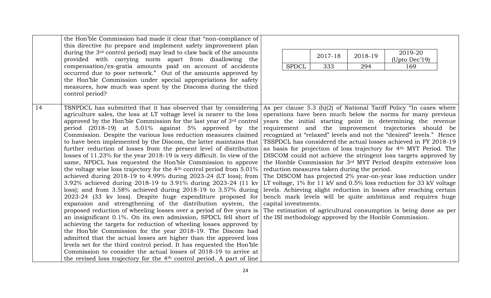|    | the Hon'ble Commission had made it clear that "non-compliance of                   |                      |                                             |         |                                                                                |  |
|----|------------------------------------------------------------------------------------|----------------------|---------------------------------------------|---------|--------------------------------------------------------------------------------|--|
|    | this directive (to prepare and implement safety improvement plan                   |                      |                                             |         |                                                                                |  |
|    | during the 3 <sup>rd</sup> control period) may lead to claw back of the amounts    |                      | 2017-18                                     | 2018-19 | 2019-20                                                                        |  |
|    | provided with carrying norm apart from disallowing the                             |                      |                                             |         | (Upto Dec'19)                                                                  |  |
|    | compensation/ex-gratia amounts paid on account of accidents                        | <b>SPDCL</b>         | 333                                         | 294     | 169                                                                            |  |
|    | occurred due to poor network." Out of the amounts approved by                      |                      |                                             |         |                                                                                |  |
|    | the Hon'ble Commission under special appropriations for safety                     |                      |                                             |         |                                                                                |  |
|    | measures, how much was spent by the Discoms during the third                       |                      |                                             |         |                                                                                |  |
|    | control period?                                                                    |                      |                                             |         |                                                                                |  |
|    |                                                                                    |                      |                                             |         |                                                                                |  |
| 14 | TSNPDCL has submitted that it has observed that by considering                     |                      |                                             |         | As per clause 5.3 (h)(2) of National Tariff Policy "In cases where             |  |
|    | agriculture sales, the loss at LT voltage level is nearer to the loss              |                      |                                             |         | operations have been much below the norms for many previous                    |  |
|    | approved by the Hon'ble Commission for the last year of 3rd control                |                      |                                             |         | years the initial starting point in determining the revenue                    |  |
|    | period (2018-19) at 5.01% against 5% approved by the                               |                      |                                             |         | requirement and the improvement trajectories should be                         |  |
|    | Commission. Despite the various loss reduction measures claimed                    |                      |                                             |         | recognized at "relaxed" levels and not the "desired" levels." Hence            |  |
|    | to have been implemented by the Discom, the latter maintains that                  |                      |                                             |         | TSSPDCL has considered the actual losses achieved in FY 2018-19                |  |
|    | further reduction of losses from the present level of distribution                 |                      |                                             |         | as basis for projection of loss trajectory for 4 <sup>th</sup> MYT Period. The |  |
|    | losses of 11.23% for the year 2018-19 is very difficult. In view of the            |                      |                                             |         | DISCOM could not achieve the stringent loss targets approved by                |  |
|    | same, NPDCL has requested the Hon'ble Commission to approve                        |                      |                                             |         | the Honble Commission for 3rd MYT Period despite extensive loss                |  |
|    | the voltage wise loss trajectory for the 4 <sup>th</sup> control period from 5.01% |                      | reduction measures taken during the period. |         |                                                                                |  |
|    | achieved during 2018-19 to 4.99% during 2023-24 (LT loss); from                    |                      |                                             |         | The DISCOM has projected 2% year-on-year loss reduction under                  |  |
|    | 3.92% achieved during 2018-19 to 3.91% during 2023-24 (11 kv                       |                      |                                             |         | LT voltage, 1% for 11 kV and 0.5% loss reduction for 33 kV voltage             |  |
|    | loss); and from 3.58% achieved during 2018-19 to 3.57% during                      |                      |                                             |         | levels. Achieving slight reduction in losses after reaching certain            |  |
|    | 2023-24 (33 kv loss). Despite huge expenditure proposed for                        |                      |                                             |         | bench mark levels will be quite ambitious and requires huge                    |  |
|    | expansion and strengthening of the distribution system, the                        | capital investments. |                                             |         |                                                                                |  |
|    | proposed reduction of wheeling losses over a period of five years is               |                      |                                             |         | The estimation of agricultural consumption is being done as per                |  |
|    | an insignificant 0.1%. On its own admission, SPDCL fell short of                   |                      |                                             |         | the ISI methodology approved by the Honble Commission.                         |  |
|    | achieving the targets for reduction of wheeling losses approved by                 |                      |                                             |         |                                                                                |  |
|    | the Hon'ble Commission for the year 2018-19. The Discom had                        |                      |                                             |         |                                                                                |  |
|    | admitted that the actual losses are higher than the approved loss                  |                      |                                             |         |                                                                                |  |
|    | levels set for the third control period. It has requested the Hon'ble              |                      |                                             |         |                                                                                |  |
|    | Commission to consider the actual losses of 2018-19 to arrive at                   |                      |                                             |         |                                                                                |  |
|    | the revised loss trajectory for the 4 <sup>th</sup> control period. A part of line |                      |                                             |         |                                                                                |  |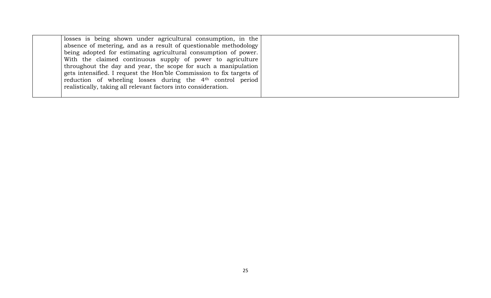| losses is being shown under agricultural consumption, in the           |  |
|------------------------------------------------------------------------|--|
| absence of metering, and as a result of questionable methodology       |  |
| being adopted for estimating agricultural consumption of power.        |  |
| With the claimed continuous supply of power to agriculture             |  |
| throughout the day and year, the scope for such a manipulation         |  |
| gets intensified. I request the Hon'ble Commission to fix targets of   |  |
| reduction of wheeling losses during the 4 <sup>th</sup> control period |  |
| realistically, taking all relevant factors into consideration.         |  |
|                                                                        |  |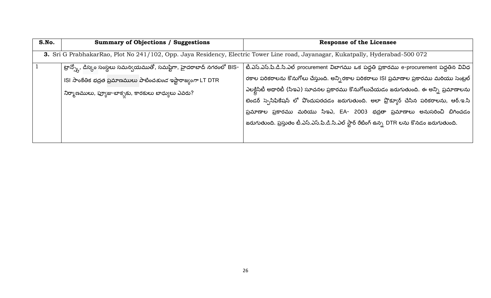<span id="page-25-0"></span>

| S.No.                                                                                                                           | <b>Summary of Objections / Suggestions</b>                                          | <b>Response of the Licensee</b>                                                                                                                                                  |
|---------------------------------------------------------------------------------------------------------------------------------|-------------------------------------------------------------------------------------|----------------------------------------------------------------------------------------------------------------------------------------------------------------------------------|
| 3. Sri G PrabhakarRao, Plot No 241/102, Opp. Jaya Residency, Electric Tower Line road, Jayanagar, Kukatpally, Hyderabad-500 072 |                                                                                     |                                                                                                                                                                                  |
|                                                                                                                                 | <sup>'</sup> ట్రాన్స్తో, డిస్కం సంస్థలు సమన్వయముతో, సమష్టిగా, హైదరాబాద్ నగరంలో BIS- | టీ.ఎస్.ఎస్.పి.డి.సి.ఎల్ procurement విబాగము ఒక పద్ధతి ప్రకారము e-procurement పద్ధతిన వివిధ                                                                                       |
|                                                                                                                                 | ISI సాంకేతిక భద్రత ప్రమాణములు పాటించ <i>కుండ</i> ఇష్టారాజ్వం <i>గా</i> LT DTR       | రకాల పరికరాలను కొనుగోలు చేస్తుంది. అన్ని రకాల పరికరాలు ISI ప్రమాణాల ప్రకారము మరియు సెంట్రల్                                                                                      |
|                                                                                                                                 | నిర్మాణములు, ఫ్యూజు-బాక్సకు, కారకులు బాధ్యులు ఎవరు?                                 | ఎలక్టిసిటీ అథారిటీ (సిఇఎ) సూచనల ప్రకారము కొనుగోలుచేయడం జరుగుతుంది. ఈ అన్ని ప్రమాణాలను<br>టెండర్ స్పెసిఫికేషన్ లో వొందుపరచడం జరుగుతుంది. అలా ప్రొక్యూర్ చేసిన పరికరాలను, ఆర్.ఇ.సి |
|                                                                                                                                 |                                                                                     | ప్రమాణాల ప్రకారము మరియు సిఇఎ, EA- 2003 భద్రతా ప్రమాణాలు అనుసరించి బిగించడం                                                                                                       |
|                                                                                                                                 |                                                                                     | జరుగుతుంది. ప్రస్తుతం టీ.ఎస్.ఎస్.పి.డి.సి.ఎల్ స్టార్ రేటింగ్ ఉన్న DTR లను కొనడం జరుగుతుంది.                                                                                      |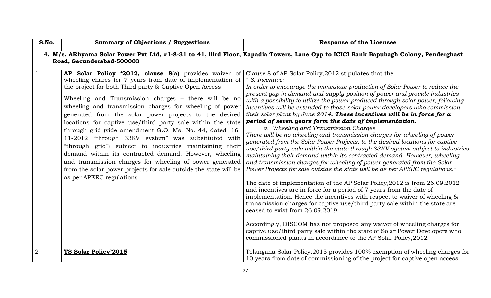<span id="page-26-0"></span>

| S.No.                                                                                                                                                             | <b>Summary of Objections / Suggestions</b>                                                                                                                                                                                                                                                                                                                                                                                                                                                                                                                                                                                                                                                                                                                                                                                   | <b>Response of the Licensee</b>                                                                                                                                                                                                                                                                                                                                                                                                                                                                                                                                                                                                                                                                                                                                                                                                                                                                                                                                                                                                                                                                                                                                                                                                                                                                                                                                                                                                                                                                                                                                                                                                                                |
|-------------------------------------------------------------------------------------------------------------------------------------------------------------------|------------------------------------------------------------------------------------------------------------------------------------------------------------------------------------------------------------------------------------------------------------------------------------------------------------------------------------------------------------------------------------------------------------------------------------------------------------------------------------------------------------------------------------------------------------------------------------------------------------------------------------------------------------------------------------------------------------------------------------------------------------------------------------------------------------------------------|----------------------------------------------------------------------------------------------------------------------------------------------------------------------------------------------------------------------------------------------------------------------------------------------------------------------------------------------------------------------------------------------------------------------------------------------------------------------------------------------------------------------------------------------------------------------------------------------------------------------------------------------------------------------------------------------------------------------------------------------------------------------------------------------------------------------------------------------------------------------------------------------------------------------------------------------------------------------------------------------------------------------------------------------------------------------------------------------------------------------------------------------------------------------------------------------------------------------------------------------------------------------------------------------------------------------------------------------------------------------------------------------------------------------------------------------------------------------------------------------------------------------------------------------------------------------------------------------------------------------------------------------------------------|
| 4. M/s. ARhyama Solar Power Pvt Ltd, #1-8-31 to 41, Illrd Floor, Kapadia Towers, Lane Opp to ICICI Bank Bapubagh Colony, Penderghast<br>Road, Secunderabad-500003 |                                                                                                                                                                                                                                                                                                                                                                                                                                                                                                                                                                                                                                                                                                                                                                                                                              |                                                                                                                                                                                                                                                                                                                                                                                                                                                                                                                                                                                                                                                                                                                                                                                                                                                                                                                                                                                                                                                                                                                                                                                                                                                                                                                                                                                                                                                                                                                                                                                                                                                                |
| $\overline{1}$                                                                                                                                                    | AP Solar Policy '2012, clause 8(a) provides waiver of<br>wheeling chares for 7 years from date of implementation of<br>the project for both Third party & Captive Open Access<br>Wheeling and Transmission charges - there will be no<br>wheeling and transmission charges for wheeling of power<br>generated from the solar power projects to the desired<br>locations for captive use/third party sale within the state<br>through grid (vide amendment G.O. Ms. No. 44, dated: 16-<br>11-2012 "through 33KV system" was substituted with<br>"through grid") subject to industries maintaining their<br>demand within its contracted demand. However, wheeling<br>and transmission charges for wheeling of power generated<br>from the solar power projects for sale outside the state will be<br>as per APERC regulations | Clause 8 of AP Solar Policy, 2012, stipulates that the<br>" 8. Incentive:<br>In order to encourage the immediate production of Solar Power to reduce the<br>present gap in demand and supply position of power and provide industries<br>with a possibility to utilize the power produced through solar power, following<br>incentives will be extended to those solar power developers who commission<br>their solar plant by June 2014. These incentives will be in force for $a$<br>period of seven years form the date of implementation.<br>a. Wheeling and Transmission Charges<br>There will be no wheeling and transmission charges for wheeling of power<br>generated from the Solar Power Projects, to the desired locations for captive<br>use/third party sale within the state through 33KV system subject to industries<br>maintaining their demand within its contracted demand. However, wheeling<br>and transmission charges for wheeling of power generated from the Solar<br>Power Projects for sale outside the state will be as per APERC regulations."<br>The date of implementation of the AP Solar Policy, 2012 is from 26.09.2012<br>and incentives are in force for a period of 7 years from the date of<br>implementation. Hence the incentives with respect to waiver of wheeling &<br>transmission charges for captive use/third party sale within the state are<br>ceased to exist from 26.09.2019.<br>Accordingly, DISCOM has not proposed any waiver of wheeling charges for<br>captive use/third party sale within the state of Solar Power Developers who<br>commissioned plants in accordance to the AP Solar Policy, 2012. |
| 2                                                                                                                                                                 | TS Solar Policy'2015                                                                                                                                                                                                                                                                                                                                                                                                                                                                                                                                                                                                                                                                                                                                                                                                         | Telangana Solar Policy, 2015 provides 100% exemption of wheeling charges for<br>10 years from date of commissioning of the project for captive open access.                                                                                                                                                                                                                                                                                                                                                                                                                                                                                                                                                                                                                                                                                                                                                                                                                                                                                                                                                                                                                                                                                                                                                                                                                                                                                                                                                                                                                                                                                                    |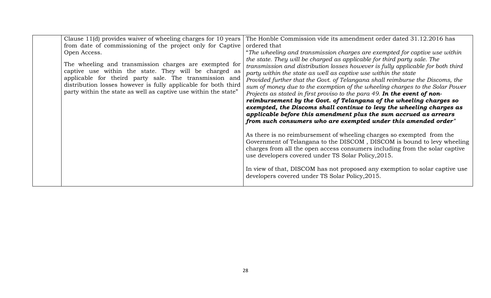| Clause 11(d) provides waiver of wheeling charges for 10 years                                                                                                                                                                                                                                                  | The Honble Commission vide its amendment order dated 31.12.2016 has                                                                                                                                                                                                                                                                                                                                                                                                                                                                                                                                                                                                                                                                                                                                                                                                                                                                                                                              |
|----------------------------------------------------------------------------------------------------------------------------------------------------------------------------------------------------------------------------------------------------------------------------------------------------------------|--------------------------------------------------------------------------------------------------------------------------------------------------------------------------------------------------------------------------------------------------------------------------------------------------------------------------------------------------------------------------------------------------------------------------------------------------------------------------------------------------------------------------------------------------------------------------------------------------------------------------------------------------------------------------------------------------------------------------------------------------------------------------------------------------------------------------------------------------------------------------------------------------------------------------------------------------------------------------------------------------|
| from date of commissioning of the project only for Captive                                                                                                                                                                                                                                                     | ordered that                                                                                                                                                                                                                                                                                                                                                                                                                                                                                                                                                                                                                                                                                                                                                                                                                                                                                                                                                                                     |
| Open Access.                                                                                                                                                                                                                                                                                                   | "The wheeling and transmission charges are exempted for captive use within                                                                                                                                                                                                                                                                                                                                                                                                                                                                                                                                                                                                                                                                                                                                                                                                                                                                                                                       |
| The wheeling and transmission charges are exempted for<br>captive use within the state. They will be charged as<br>applicable for theird party sale. The transmission and<br>distribution losses however is fully applicable for both third<br>party within the state as well as captive use within the state" | the state. They will be charged as applicable for third party sale. The<br>transmission and distribution losses however is fully applicable for both third<br>party within the state as well as captive use within the state<br>Provided further that the Govt. of Telangana shall reimburse the Discoms, the<br>sum of money due to the exemption of the wheeling charges to the Solar Power<br>Projects as stated in first proviso to the para 49. In the event of non-<br>reimbursement by the Govt. of Telangana of the wheeling charges so<br>exempted, the Discoms shall continue to levy the wheeling charges as<br>applicable before this amendment plus the sum accrued as arrears<br>from such consumers who are exempted under this amended order"<br>As there is no reimbursement of wheeling charges so exempted from the<br>Government of Telangana to the DISCOM, DISCOM is bound to levy wheeling<br>charges from all the open access consumers including from the solar captive |
|                                                                                                                                                                                                                                                                                                                | use developers covered under TS Solar Policy, 2015.                                                                                                                                                                                                                                                                                                                                                                                                                                                                                                                                                                                                                                                                                                                                                                                                                                                                                                                                              |
|                                                                                                                                                                                                                                                                                                                | In view of that, DISCOM has not proposed any exemption to solar captive use<br>developers covered under TS Solar Policy, 2015.                                                                                                                                                                                                                                                                                                                                                                                                                                                                                                                                                                                                                                                                                                                                                                                                                                                                   |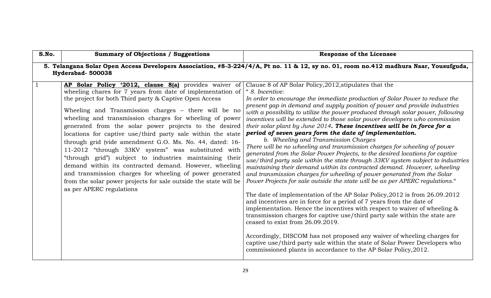<span id="page-28-0"></span>

| S.No.        | <b>Summary of Objections / Suggestions</b>                                                                                                                                                                                                                                                                                                                                                                                                                                                                                                                                                                                                                                                                                                                                                                                   | <b>Response of the Licensee</b>                                                                                                                                                                                                                                                                                                                                                                                                                                                                                                                                                                                                                                                                                                                                                                                                                                                                                                                                                                                                                                                                                                                                                                                                                                                                                                                                                                                                                                                                                                                                                                                                                                 |  |
|--------------|------------------------------------------------------------------------------------------------------------------------------------------------------------------------------------------------------------------------------------------------------------------------------------------------------------------------------------------------------------------------------------------------------------------------------------------------------------------------------------------------------------------------------------------------------------------------------------------------------------------------------------------------------------------------------------------------------------------------------------------------------------------------------------------------------------------------------|-----------------------------------------------------------------------------------------------------------------------------------------------------------------------------------------------------------------------------------------------------------------------------------------------------------------------------------------------------------------------------------------------------------------------------------------------------------------------------------------------------------------------------------------------------------------------------------------------------------------------------------------------------------------------------------------------------------------------------------------------------------------------------------------------------------------------------------------------------------------------------------------------------------------------------------------------------------------------------------------------------------------------------------------------------------------------------------------------------------------------------------------------------------------------------------------------------------------------------------------------------------------------------------------------------------------------------------------------------------------------------------------------------------------------------------------------------------------------------------------------------------------------------------------------------------------------------------------------------------------------------------------------------------------|--|
|              | 5. Telangana Solar Open Access Developers Association, #8-3-224/4/A, Pt no. 11 & 12, sy no. 01, room no.412 madhura Naar, Yousufguda,<br>Hyderabad-500038                                                                                                                                                                                                                                                                                                                                                                                                                                                                                                                                                                                                                                                                    |                                                                                                                                                                                                                                                                                                                                                                                                                                                                                                                                                                                                                                                                                                                                                                                                                                                                                                                                                                                                                                                                                                                                                                                                                                                                                                                                                                                                                                                                                                                                                                                                                                                                 |  |
| $\mathbf{1}$ | AP Solar Policy '2012, clause 8(a) provides waiver of<br>wheeling chares for 7 years from date of implementation of<br>the project for both Third party & Captive Open Access<br>Wheeling and Transmission charges - there will be no<br>wheeling and transmission charges for wheeling of power<br>generated from the solar power projects to the desired<br>locations for captive use/third party sale within the state<br>through grid (vide amendment G.O. Ms. No. 44, dated: 16-<br>11-2012 "through 33KV system" was substituted with<br>"through grid") subject to industries maintaining their<br>demand within its contracted demand. However, wheeling<br>and transmission charges for wheeling of power generated<br>from the solar power projects for sale outside the state will be<br>as per APERC regulations | Clause 8 of AP Solar Policy, 2012, stipulates that the<br>" 8. Incentive:<br>In order to encourage the immediate production of Solar Power to reduce the<br>present gap in demand and supply position of power and provide industries<br>with a possibility to utilize the power produced through solar power, following<br>incentives will be extended to those solar power developers who commission<br>their solar plant by June $2014$ . These incentives will be in force for a<br>period of seven years form the date of implementation.<br>b. Wheeling and Transmission Charges<br>There will be no wheeling and transmission charges for wheeling of power<br>generated from the Solar Power Projects, to the desired locations for captive<br>use/third party sale within the state through 33KV system subject to industries<br>maintaining their demand within its contracted demand. However, wheeling<br>and transmission charges for wheeling of power generated from the Solar<br>Power Projects for sale outside the state will be as per APERC regulations."<br>The date of implementation of the AP Solar Policy, 2012 is from 26.09.2012<br>and incentives are in force for a period of 7 years from the date of<br>implementation. Hence the incentives with respect to waiver of wheeling &<br>transmission charges for captive use/third party sale within the state are<br>ceased to exist from 26.09.2019.<br>Accordingly, DISCOM has not proposed any waiver of wheeling charges for<br>captive use/third party sale within the state of Solar Power Developers who<br>commissioned plants in accordance to the AP Solar Policy, 2012. |  |